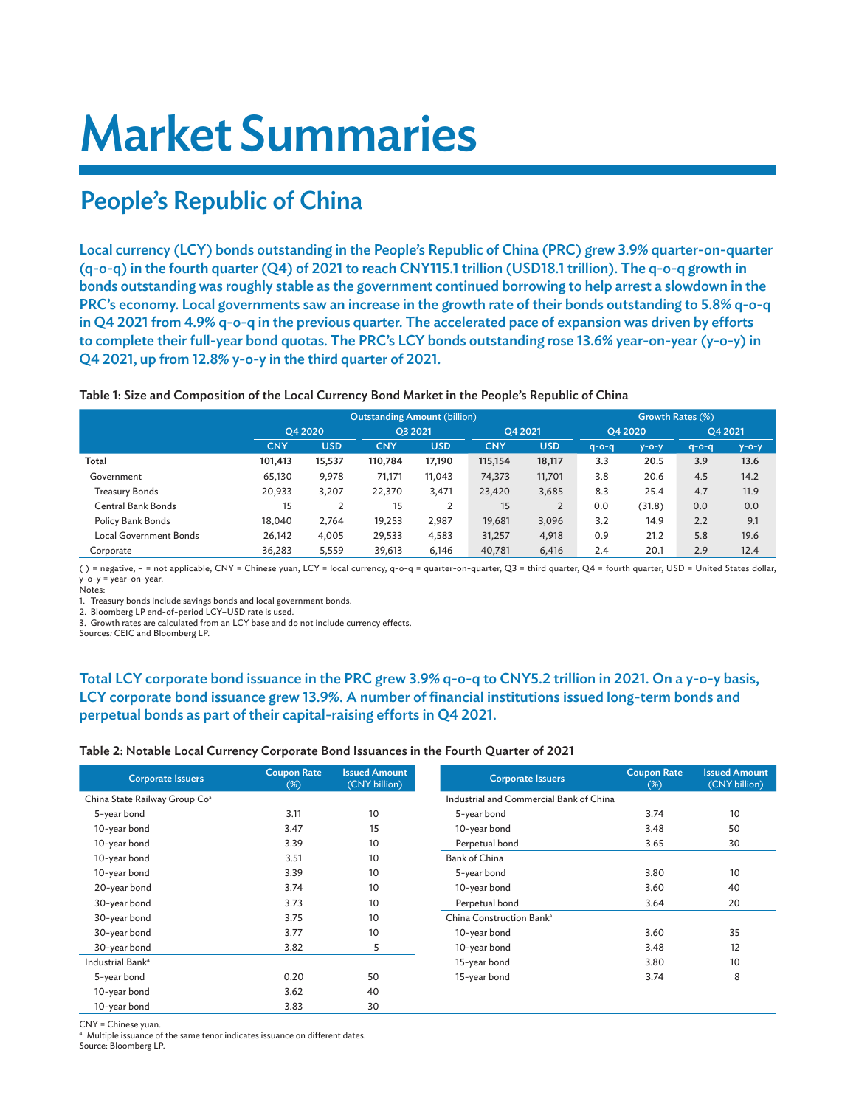# Market Summaries

# People's Republic of China

Local currency (LCY) bonds outstanding in the People's Republic of China (PRC) grew 3.9% quarter-on-quarter (q-o-q) in the fourth quarter (Q4) of 2021 to reach CNY115.1 trillion (USD18.1 trillion). The q-o-q growth in bonds outstanding was roughly stable as the government continued borrowing to help arrest a slowdown in the PRC's economy. Local governments saw an increase in the growth rate of their bonds outstanding to 5.8% q-o-q in Q4 2021 from 4.9% q-o-q in the previous quarter. The accelerated pace of expansion was driven by efforts to complete their full-year bond quotas. The PRC's LCY bonds outstanding rose 13.6% year-on-year (y-o-y) in Q4 2021, up from 12.8% y-o-y in the third quarter of 2021.

#### Table 1: Size and Composition of the Local Currency Bond Market in the People's Republic of China

|                               |            |            | <b>Outstanding Amount (billion)</b> | Growth Rates (%) |            |            |             |             |             |             |
|-------------------------------|------------|------------|-------------------------------------|------------------|------------|------------|-------------|-------------|-------------|-------------|
|                               |            | O4 2020    |                                     | O3 2021          |            | O4 2021    |             | O4 2020     |             | O4 2021     |
|                               | <b>CNY</b> | <b>USD</b> | <b>CNY</b>                          | USD              | <b>CNY</b> | <b>USD</b> | $q - o - q$ | $y - o - y$ | $q - o - q$ | $y - o - y$ |
| Total                         | 101,413    | 15,537     | 110,784                             | 17,190           | 115,154    | 18,117     | 3.3         | 20.5        | 3.9         | 13.6        |
| Government                    | 65,130     | 9,978      | 71,171                              | 11,043           | 74,373     | 11,701     | 3.8         | 20.6        | 4.5         | 14.2        |
| Treasury Bonds                | 20,933     | 3,207      | 22,370                              | 3,471            | 23,420     | 3,685      | 8.3         | 25.4        | 4.7         | 11.9        |
| Central Bank Bonds            | 15         |            | 15                                  |                  | 15         |            | 0.0         | (31.8)      | 0.0         | 0.0         |
| Policy Bank Bonds             | 18,040     | 2,764      | 19,253                              | 2,987            | 19,681     | 3,096      | 3.2         | 14.9        | 2.2         | 9.1         |
| <b>Local Government Bonds</b> | 26,142     | 4,005      | 29,533                              | 4,583            | 31,257     | 4,918      | 0.9         | 21.2        | 5.8         | 19.6        |
| Corporate                     | 36,283     | 5.559      | 39.613                              | 6.146            | 40.781     | 6.416      | 2.4         | 20.1        | 2.9         | 12.4        |

( ) = negative, – = not applicable, CNY = Chinese yuan, LCY = local currency, q-o-q = quarter-on-quarter, Q3 = third quarter, Q4 = fourth quarter, USD = United States dollar, y-o-y = year-on-year.

Notes:

1. Treasury bonds include savings bonds and local government bonds.

2. Bloomberg LP end-of-period LCY–USD rate is used.

3. Growth rates are calculated from an LCY base and do not include currency effects.

Sources*:* CEIC and Bloomberg LP.

### Total LCY corporate bond issuance in the PRC grew 3.9% q-o-q to CNY5.2 trillion in 2021. On a y-o-y basis, LCY corporate bond issuance grew 13.9%. A number of financial institutions issued long-term bonds and perpetual bonds as part of their capital-raising efforts in Q4 2021.

#### Table 2: Notable Local Currency Corporate Bond Issuances in the Fourth Quarter of 2021

| <b>Corporate Issuers</b>                  | <b>Coupon Rate</b><br>$(\%)$ | <b>Issued Amount</b><br>(CNY billion) | <b>Corporate Issuers</b>                | <b>Coupon Rate</b><br>$(\%)$ | <b>Issued Amount</b><br>(CNY billion) |
|-------------------------------------------|------------------------------|---------------------------------------|-----------------------------------------|------------------------------|---------------------------------------|
| China State Railway Group Co <sup>a</sup> |                              |                                       | Industrial and Commercial Bank of China |                              |                                       |
| 5-year bond                               | 3.11                         | 10                                    | 5-year bond                             | 3.74                         | 10                                    |
| 10-year bond                              | 3.47                         | 15                                    | 10-year bond                            | 3.48                         | 50                                    |
| 10-year bond                              | 3.39                         | 10                                    | Perpetual bond                          | 3.65                         | 30                                    |
| 10-year bond                              | 3.51                         | 10                                    | <b>Bank of China</b>                    |                              |                                       |
| 10-year bond                              | 3.39                         | 10                                    | 5-year bond                             | 3.80                         | 10                                    |
| 20-year bond                              | 3.74                         | 10                                    | 10-year bond                            | 3.60                         | 40                                    |
| 30-year bond                              | 3.73                         | 10                                    | Perpetual bond                          | 3.64                         | 20                                    |
| 30-year bond                              | 3.75                         | 10                                    | China Construction Bank <sup>a</sup>    |                              |                                       |
| 30-year bond                              | 3.77                         | 10                                    | 10-year bond                            | 3.60                         | 35                                    |
| 30-year bond                              | 3.82                         | 5                                     | 10-year bond                            | 3.48                         | 12                                    |
| Industrial Bank <sup>a</sup>              |                              |                                       | 15-year bond                            | 3.80                         | 10                                    |
| 5-year bond                               | 0.20                         | 50                                    | 15-year bond                            | 3.74                         | 8                                     |
| 10-year bond                              | 3.62                         | 40                                    |                                         |                              |                                       |
| 10-year bond                              | 3.83                         | 30                                    |                                         |                              |                                       |

CNY = Chinese yuan.

a Multiple issuance of the same tenor indicates issuance on different dates. Source: Bloomberg LP.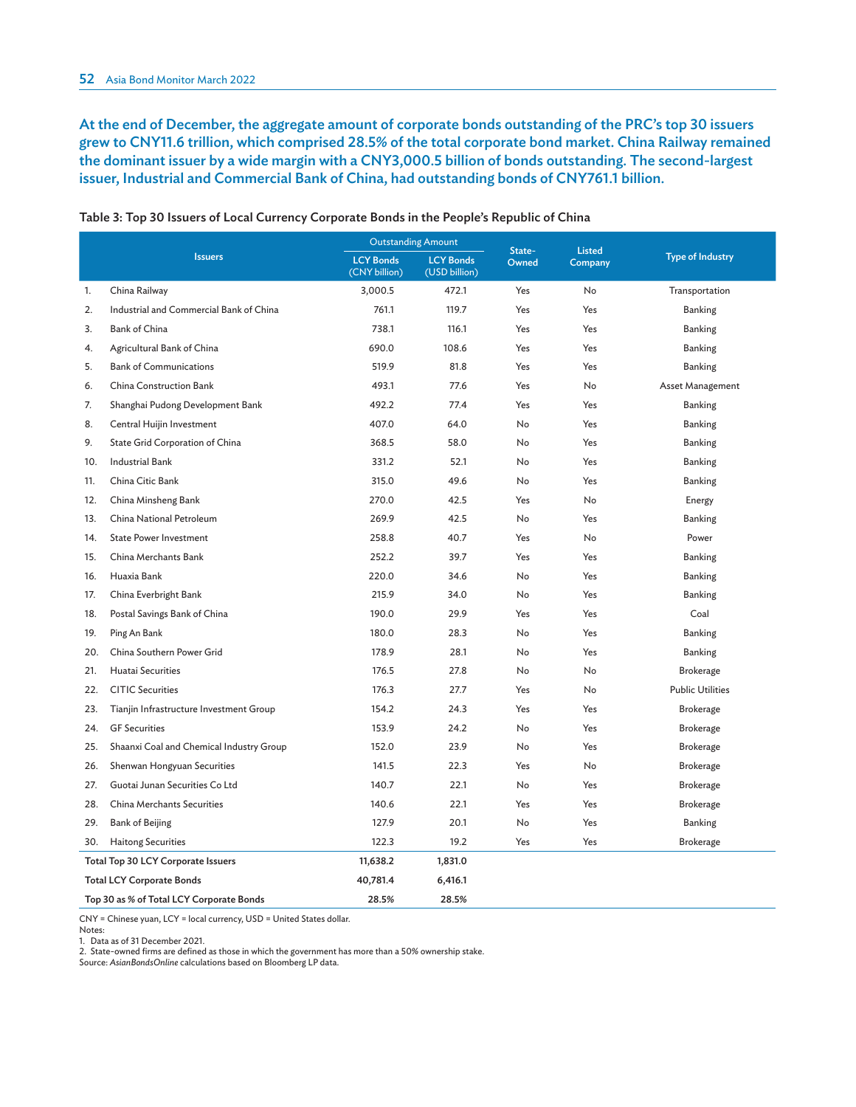At the end of December, the aggregate amount of corporate bonds outstanding of the PRC's top 30 issuers grew to CNY11.6 trillion, which comprised 28.5% of the total corporate bond market. China Railway remained the dominant issuer by a wide margin with a CNY3,000.5 billion of bonds outstanding. The second-largest issuer, Industrial and Commercial Bank of China, had outstanding bonds of CNY761.1 billion.

|                                          |                                          | <b>Outstanding Amount</b>         |                                   | State-    | <b>Listed</b> |                         |
|------------------------------------------|------------------------------------------|-----------------------------------|-----------------------------------|-----------|---------------|-------------------------|
|                                          | <b>Issuers</b>                           | <b>LCY Bonds</b><br>(CNY billion) | <b>LCY Bonds</b><br>(USD billion) | Owned     | Company       | <b>Type of Industry</b> |
| 1.                                       | China Railway                            | 3,000.5                           | 472.1                             | Yes       | No            | Transportation          |
| 2.                                       | Industrial and Commercial Bank of China  | 761.1                             | 119.7                             | Yes       | Yes           | Banking                 |
| 3.                                       | Bank of China                            | 738.1                             | 116.1                             | Yes       | Yes           | <b>Banking</b>          |
| 4.                                       | Agricultural Bank of China               | 690.0                             | 108.6                             | Yes       | Yes           | <b>Banking</b>          |
| 5.                                       | <b>Bank of Communications</b>            | 519.9                             | 81.8                              | Yes       | Yes           | Banking                 |
| 6.                                       | China Construction Bank                  | 493.1                             | 77.6                              | Yes       | No            | Asset Management        |
| 7.                                       | Shanghai Pudong Development Bank         | 492.2                             | 77.4                              | Yes       | Yes           | Banking                 |
| 8.                                       | Central Huijin Investment                | 407.0                             | 64.0                              | No        | Yes           | Banking                 |
| 9.                                       | State Grid Corporation of China          | 368.5                             | 58.0                              | No        | Yes           | <b>Banking</b>          |
| 10.                                      | <b>Industrial Bank</b>                   | 331.2                             | 52.1                              | <b>No</b> | Yes           | Banking                 |
| 11.                                      | China Citic Bank                         | 315.0                             | 49.6                              | No        | Yes           | Banking                 |
| 12.                                      | China Minsheng Bank                      | 270.0                             | 42.5                              | Yes       | No            | Energy                  |
| 13.                                      | China National Petroleum                 | 269.9                             | 42.5                              | No        | Yes           | <b>Banking</b>          |
| 14.                                      | <b>State Power Investment</b>            | 258.8                             | 40.7                              | Yes       | No            | Power                   |
| 15.                                      | China Merchants Bank                     | 252.2                             | 39.7                              | Yes       | Yes           | <b>Banking</b>          |
| 16.                                      | Huaxia Bank                              | 220.0                             | 34.6                              | No        | Yes           | Banking                 |
| 17.                                      | China Everbright Bank                    | 215.9                             | 34.0                              | <b>No</b> | Yes           | <b>Banking</b>          |
| 18.                                      | Postal Savings Bank of China             | 190.0                             | 29.9                              | Yes       | Yes           | Coal                    |
| 19.                                      | Ping An Bank                             | 180.0                             | 28.3                              | No        | Yes           | <b>Banking</b>          |
| 20.                                      | China Southern Power Grid                | 178.9                             | 28.1                              | No        | Yes           | <b>Banking</b>          |
| 21.                                      | Huatai Securities                        | 176.5                             | 27.8                              | No        | No            | <b>Brokerage</b>        |
| 22.                                      | <b>CITIC Securities</b>                  | 176.3                             | 27.7                              | Yes       | <b>No</b>     | <b>Public Utilities</b> |
| 23.                                      | Tianjin Infrastructure Investment Group  | 154.2                             | 24.3                              | Yes       | Yes           | <b>Brokerage</b>        |
| 24.                                      | <b>GF</b> Securities                     | 153.9                             | 24.2                              | <b>No</b> | Yes           | Brokerage               |
| 25.                                      | Shaanxi Coal and Chemical Industry Group | 152.0                             | 23.9                              | No        | Yes           | Brokerage               |
| 26.                                      | Shenwan Hongyuan Securities              | 141.5                             | 22.3                              | Yes       | No            | <b>Brokerage</b>        |
| 27.                                      | Guotai Junan Securities Co Ltd           | 140.7                             | 22.1                              | <b>No</b> | Yes           | Brokerage               |
| 28.                                      | China Merchants Securities               | 140.6                             | 22.1                              | Yes       | Yes           | Brokerage               |
| 29.                                      | <b>Bank of Beijing</b>                   | 127.9                             | 20.1                              | No        | Yes           | <b>Banking</b>          |
| 30.                                      | <b>Haitong Securities</b>                | 122.3                             | 19.2                              | Yes       | Yes           | Brokerage               |
|                                          | Total Top 30 LCY Corporate Issuers       | 11,638.2                          | 1,831.0                           |           |               |                         |
|                                          | <b>Total LCY Corporate Bonds</b>         | 40,781.4                          | 6,416.1                           |           |               |                         |
| Top 30 as % of Total LCY Corporate Bonds |                                          | 28.5%                             | 28.5%                             |           |               |                         |

Table 3: Top 30 Issuers of Local Currency Corporate Bonds in the People's Republic of China

CNY = Chinese yuan, LCY = local currency, USD = United States dollar.

Notes:

1. Data as of 31 December 2021.

2. State-owned firms are defined as those in which the government has more than a 50% ownership stake.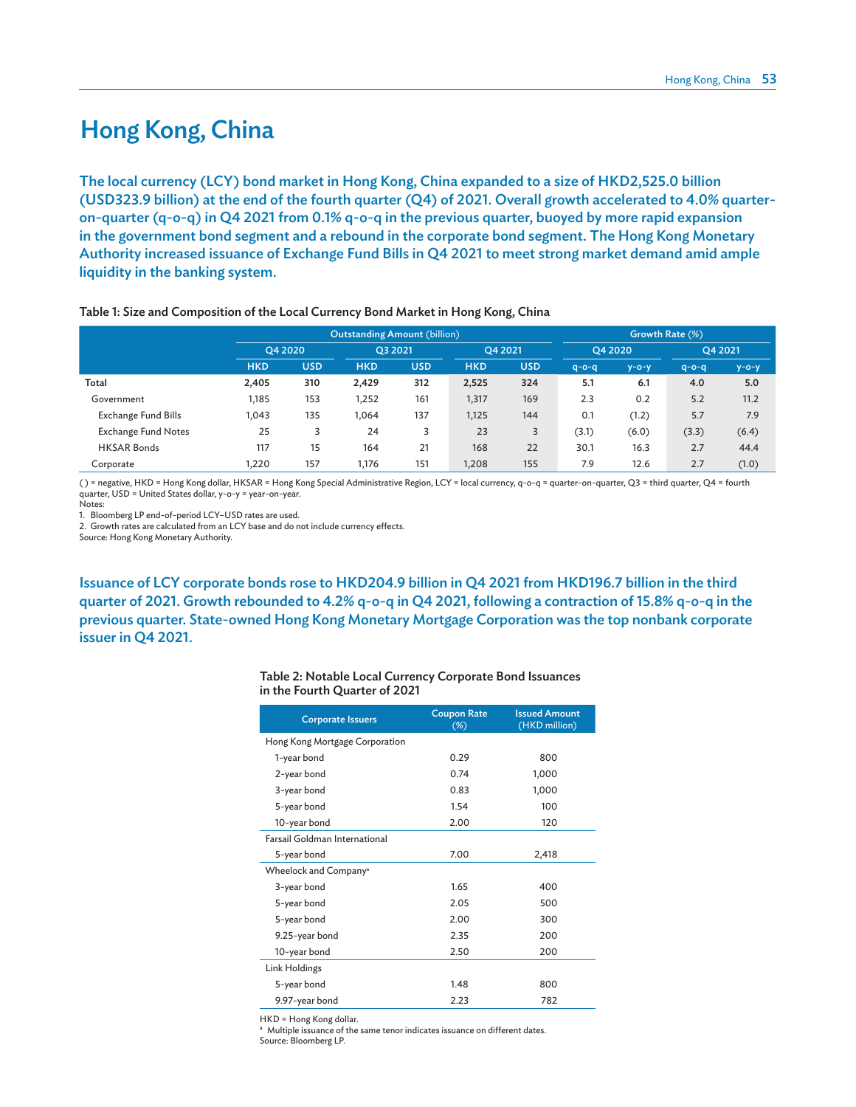### Hong Kong, China

The local currency (LCY) bond market in Hong Kong, China expanded to a size of HKD2,525.0 billion (USD323.9 billion) at the end of the fourth quarter (Q4) of 2021. Overall growth accelerated to 4.0% quarteron-quarter (q-o-q) in Q4 2021 from 0.1% q-o-q in the previous quarter, buoyed by more rapid expansion in the government bond segment and a rebound in the corporate bond segment. The Hong Kong Monetary Authority increased issuance of Exchange Fund Bills in Q4 2021 to meet strong market demand amid ample liquidity in the banking system.

|                            |            |            | Outstanding Amount (billion) |            | Growth Rate (%) |            |             |             |             |             |
|----------------------------|------------|------------|------------------------------|------------|-----------------|------------|-------------|-------------|-------------|-------------|
|                            |            | O4 2020    |                              | O3 2021    |                 | O4 2021    |             | O4 2020     |             | O4 2021     |
|                            | <b>HKD</b> | <b>USD</b> | <b>HKD</b>                   | <b>USD</b> | <b>HKD</b>      | <b>USD</b> | $q - o - q$ | $y - o - y$ | $q - o - q$ | $y - o - y$ |
| Total                      | 2,405      | 310        | 2,429                        | 312        | 2,525           | 324        | 5.1         | 6.1         | 4.0         | 5.0         |
| Government                 | 1,185      | 153        | 1,252                        | 161        | 1,317           | 169        | 2.3         | 0.2         | 5.2         | 11.2        |
| Exchange Fund Bills        | 1,043      | 135        | 1,064                        | 137        | 1,125           | 144        | 0.1         | (1.2)       | 5.7         | 7.9         |
| <b>Exchange Fund Notes</b> | 25         | 3          | 24                           | 3          | 23              | 3          | (3.1)       | (6.0)       | (3.3)       | (6.4)       |
| <b>HKSAR Bonds</b>         | 117        | 15         | 164                          | 21         | 168             | 22         | 30.1        | 16.3        | 2.7         | 44.4        |
| Corporate                  | 1,220      | 157        | 1.176                        | 151        | I,208           | 155        | 7.9         | 12.6        | 2.7         | (1.0)       |

#### Table 1: Size and Composition of the Local Currency Bond Market in Hong Kong, China

( ) = negative, HKD = Hong Kong dollar, HKSAR = Hong Kong Special Administrative Region, LCY = local currency, q-o-q = quarter-on-quarter, Q3 = third quarter, Q4 = fourth quarter, USD = United States dollar, y-o-y = year-on-year.

Notes:

1. Bloomberg LP end-of-period LCY–USD rates are used.

2. Growth rates are calculated from an LCY base and do not include currency effects.

Source: Hong Kong Monetary Authority.

Issuance of LCY corporate bonds rose to HKD204.9 billion in Q4 2021 from HKD196.7 billion in the third quarter of 2021. Growth rebounded to 4.2% q-o-q in Q4 2021, following a contraction of 15.8% q-o-q in the previous quarter. State-owned Hong Kong Monetary Mortgage Corporation was the top nonbank corporate issuer in Q4 2021.

| Table 2: Notable Local Currency Corporate Bond Issuances |  |
|----------------------------------------------------------|--|
| in the Fourth Quarter of 2021                            |  |

| <b>Corporate Issuers</b>             | <b>Coupon Rate</b><br>$(\%)$ | <b>Issued Amount</b><br>(HKD million) |
|--------------------------------------|------------------------------|---------------------------------------|
| Hong Kong Mortgage Corporation       |                              |                                       |
| 1-year bond                          | 0.29                         | 800                                   |
| 2-year bond                          | 0.74                         | 1,000                                 |
| 3-year bond                          | 0.83                         | 1,000                                 |
| 5-year bond                          | 1.54                         | 100                                   |
| 10-year bond                         | 2.00                         | 120                                   |
| <b>Farsail Goldman International</b> |                              |                                       |
| 5-year bond                          | 7.00                         | 2,418                                 |
| Wheelock and Company <sup>a</sup>    |                              |                                       |
| 3-year bond                          | 1.65                         | 400                                   |
| 5-year bond                          | 2.05                         | 500                                   |
| 5-year bond                          | 2.00                         | 300                                   |
| 9.25-year bond                       | 2.35                         | 200                                   |
| 10-year bond                         | 2.50                         | 200                                   |
| Link Holdings                        |                              |                                       |
| 5-year bond                          | 1.48                         | 800                                   |
| 9.97-year bond                       | 2.23                         | 782                                   |

HKD = Hong Kong dollar.

a Multiple issuance of the same tenor indicates issuance on different dates. Source: Bloomberg LP.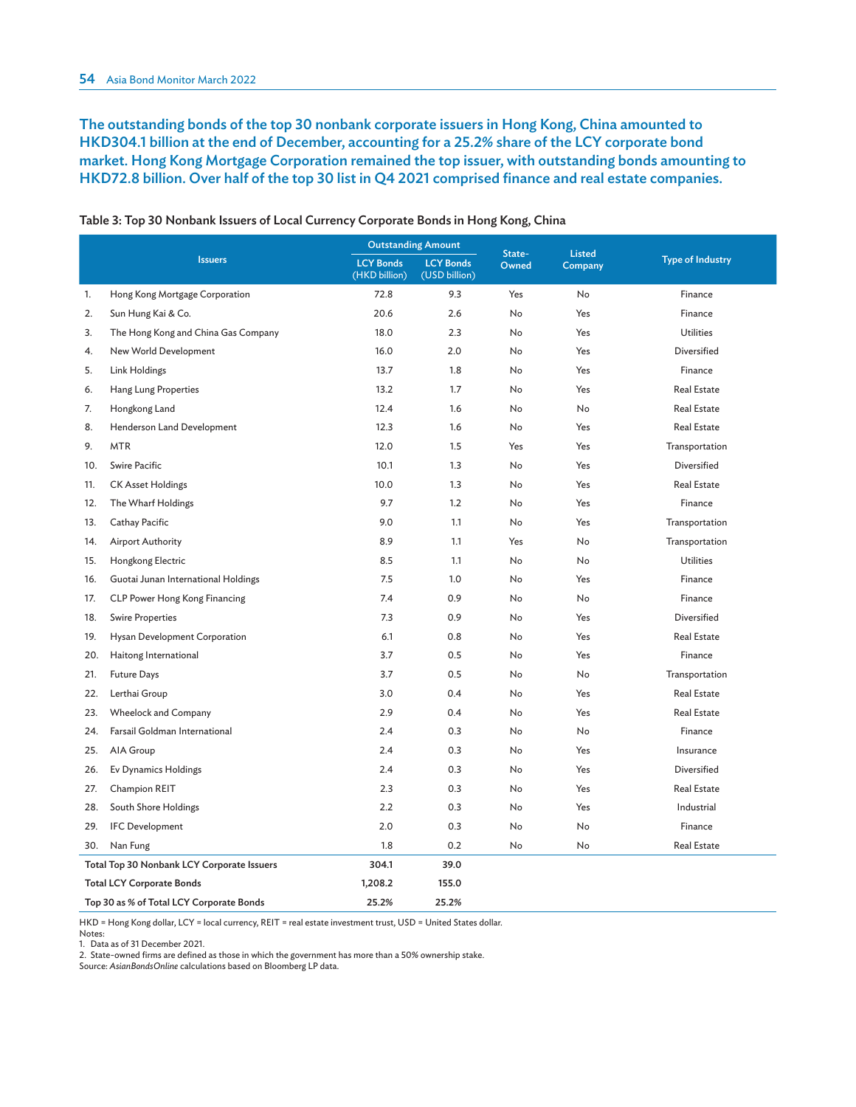The outstanding bonds of the top 30 nonbank corporate issuers in Hong Kong, China amounted to HKD304.1 billion at the end of December, accounting for a 25.2% share of the LCY corporate bond market. Hong Kong Mortgage Corporation remained the top issuer, with outstanding bonds amounting to HKD72.8 billion. Over half of the top 30 list in Q4 2021 comprised finance and real estate companies.

|                                          |                                            | <b>Outstanding Amount</b>         |                                   |                 | <b>Listed</b> |                         |
|------------------------------------------|--------------------------------------------|-----------------------------------|-----------------------------------|-----------------|---------------|-------------------------|
|                                          | <b>Issuers</b>                             | <b>LCY Bonds</b><br>(HKD billion) | <b>LCY Bonds</b><br>(USD billion) | State-<br>Owned | Company       | <b>Type of Industry</b> |
| 1.                                       | Hong Kong Mortgage Corporation             | 72.8                              | 9.3                               | Yes             | No            | Finance                 |
| 2.                                       | Sun Hung Kai & Co.                         | 20.6                              | 2.6                               | No              | Yes           | Finance                 |
| 3.                                       | The Hong Kong and China Gas Company        | 18.0                              | 2.3                               | No              | Yes           | <b>Utilities</b>        |
| 4.                                       | New World Development                      | 16.0                              | 2.0                               | No              | Yes           | <b>Diversified</b>      |
| 5.                                       | Link Holdings                              | 13.7                              | 1.8                               | No              | Yes           | Finance                 |
| 6.                                       | Hang Lung Properties                       | 13.2                              | 1.7                               | No              | Yes           | <b>Real Estate</b>      |
| 7.                                       | Hongkong Land                              | 12.4                              | 1.6                               | No              | No            | <b>Real Estate</b>      |
| 8.                                       | Henderson Land Development                 | 12.3                              | 1.6                               | No              | Yes           | <b>Real Estate</b>      |
| 9.                                       | <b>MTR</b>                                 | 12.0                              | 1.5                               | Yes             | Yes           | Transportation          |
| 10.                                      | Swire Pacific                              | 10.1                              | 1.3                               | No              | Yes           | <b>Diversified</b>      |
| 11.                                      | <b>CK Asset Holdings</b>                   | 10.0                              | 1.3                               | No              | Yes           | <b>Real Estate</b>      |
| 12.                                      | The Wharf Holdings                         | 9.7                               | 1.2                               | No              | Yes           | Finance                 |
| 13.                                      | Cathay Pacific                             | 9.0                               | 1.1                               | No              | Yes           | Transportation          |
| 14.                                      | <b>Airport Authority</b>                   | 8.9                               | 1.1                               | Yes             | No            | Transportation          |
| 15.                                      | Hongkong Electric                          | 8.5                               | 1.1                               | No              | No            | Utilities               |
| 16.                                      | Guotai Junan International Holdings        | 7.5                               | 1.0                               | No              | Yes           | Finance                 |
| 17.                                      | CLP Power Hong Kong Financing              | 7.4                               | 0.9                               | No              | No            | Finance                 |
| 18.                                      | <b>Swire Properties</b>                    | 7.3                               | 0.9                               | No              | Yes           | Diversified             |
| 19.                                      | Hysan Development Corporation              | 6.1                               | 0.8                               | No              | Yes           | <b>Real Estate</b>      |
| 20.                                      | Haitong International                      | 3.7                               | 0.5                               | No              | Yes           | Finance                 |
| 21.                                      | <b>Future Days</b>                         | 3.7                               | 0.5                               | No              | No            | Transportation          |
| 22.                                      | Lerthai Group                              | 3.0                               | 0.4                               | No              | Yes           | <b>Real Estate</b>      |
| 23.                                      | Wheelock and Company                       | 2.9                               | 0.4                               | No              | Yes           | <b>Real Estate</b>      |
| 24.                                      | <b>Farsail Goldman International</b>       | 2.4                               | 0.3                               | No              | No            | Finance                 |
| 25.                                      | AIA Group                                  | 2.4                               | 0.3                               | No.             | Yes           | Insurance               |
| 26.                                      | Ev Dynamics Holdings                       | 2.4                               | 0.3                               | No              | Yes           | Diversified             |
| 27.                                      | Champion REIT                              | 2.3                               | 0.3                               | No              | Yes           | <b>Real Estate</b>      |
| 28.                                      | South Shore Holdings                       | 2.2                               | 0.3                               | No              | Yes           | Industrial              |
| 29.                                      | <b>IFC</b> Development                     | 2.0                               | 0.3                               | No              | No            | Finance                 |
| 30.                                      | Nan Fung                                   | 1.8                               | 0.2                               | No              | No            | <b>Real Estate</b>      |
|                                          | Total Top 30 Nonbank LCY Corporate Issuers | 304.1                             | 39.0                              |                 |               |                         |
|                                          | <b>Total LCY Corporate Bonds</b>           | 1,208.2                           | 155.0                             |                 |               |                         |
| Top 30 as % of Total LCY Corporate Bonds |                                            | 25.2%                             | 25.2%                             |                 |               |                         |

Table 3: Top 30 Nonbank Issuers of Local Currency Corporate Bonds in Hong Kong, China

HKD = Hong Kong dollar, LCY = local currency, REIT = real estate investment trust, USD = United States dollar. Notes:

1. Data as of 31 December 2021.

2. State-owned firms are defined as those in which the government has more than a 50% ownership stake.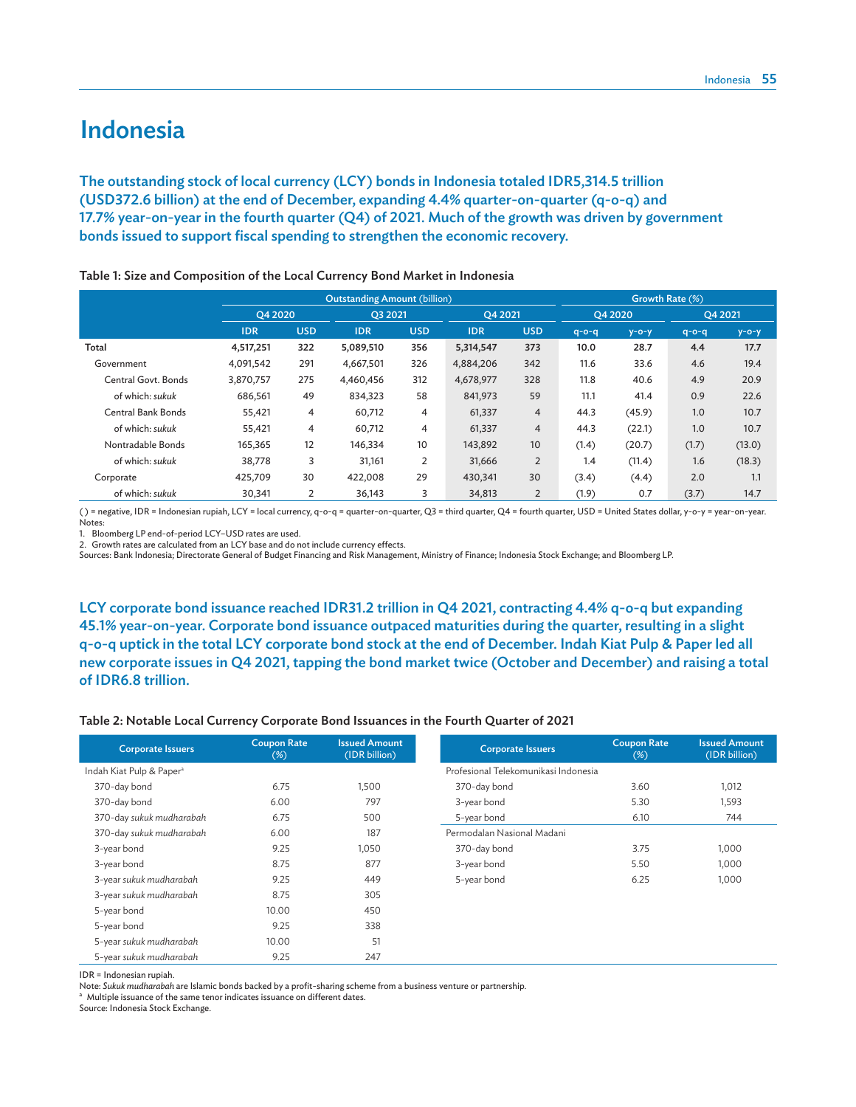### Indonesia

The outstanding stock of local currency (LCY) bonds in Indonesia totaled IDR5,314.5 trillion (USD372.6 billion) at the end of December, expanding 4.4% quarter-on-quarter (q-o-q) and 17.7% year-on-year in the fourth quarter (Q4) of 2021. Much of the growth was driven by government bonds issued to support fiscal spending to strengthen the economic recovery.

|                           |            |            | <b>Outstanding Amount (billion)</b> |            | Growth Rate (%) |                |             |             |             |             |
|---------------------------|------------|------------|-------------------------------------|------------|-----------------|----------------|-------------|-------------|-------------|-------------|
|                           | O4 2020    |            | O3 2021                             |            | O4 2021         |                | O4 2020     |             | Q4 2021     |             |
|                           | <b>IDR</b> | <b>USD</b> | <b>IDR</b>                          | <b>USD</b> | <b>IDR</b>      | <b>USD</b>     | $q - o - q$ | $y - o - y$ | $q - o - q$ | $y - o - y$ |
| Total                     | 4,517,251  | 322        | 5,089,510                           | 356        | 5,314,547       | 373            | 10.0        | 28.7        | 4.4         | 17.7        |
| Government                | 4,091,542  | 291        | 4,667,501                           | 326        | 4,884,206       | 342            | 11.6        | 33.6        | 4.6         | 19.4        |
| Central Govt. Bonds       | 3,870,757  | 275        | 4,460,456                           | 312        | 4,678,977       | 328            | 11.8        | 40.6        | 4.9         | 20.9        |
| of which: sukuk           | 686,561    | 49         | 834,323                             | 58         | 841,973         | 59             | 11.1        | 41.4        | 0.9         | 22.6        |
| <b>Central Bank Bonds</b> | 55,421     | 4          | 60,712                              | 4          | 61,337          | 4              | 44.3        | (45.9)      | 1.0         | 10.7        |
| of which: sukuk           | 55,421     | 4          | 60,712                              | 4          | 61,337          | $\overline{4}$ | 44.3        | (22.1)      | 1.0         | 10.7        |
| Nontradable Bonds         | 165,365    | 12         | 146,334                             | 10         | 143,892         | 10             | (1.4)       | (20.7)      | (1.7)       | (13.0)      |
| of which: sukuk           | 38,778     | 3          | 31,161                              | 2          | 31,666          | $\overline{2}$ | 1.4         | (11.4)      | 1.6         | (18.3)      |
| Corporate                 | 425,709    | 30         | 422,008                             | 29         | 430,341         | 30             | (3.4)       | (4.4)       | 2.0         | 1.1         |
| of which: sukuk           | 30,341     | 2          | 36,143                              | 3          | 34,813          | 2              | (1.9)       | 0.7         | (3.7)       | 14.7        |

Table 1: Size and Composition of the Local Currency Bond Market in Indonesia

( ) = negative, IDR = Indonesian rupiah, LCY = local currency, q-o-q = quarter-on-quarter, Q3 = third quarter, Q4 = fourth quarter, USD = United States dollar, y-o-y = year-on-year. Notes:

1. Bloomberg LP end-of-period LCY–USD rates are used.

2. Growth rates are calculated from an LCY base and do not include currency effects.

Sources: Bank Indonesia; Directorate General of Budget Financing and Risk Management, Ministry of Finance; Indonesia Stock Exchange; and Bloomberg LP.

LCY corporate bond issuance reached IDR31.2 trillion in Q4 2021, contracting 4.4% q-o-q but expanding 45.1% year-on-year. Corporate bond issuance outpaced maturities during the quarter, resulting in a slight q-o-q uptick in the total LCY corporate bond stock at the end of December. Indah Kiat Pulp & Paper led all new corporate issues in Q4 2021, tapping the bond market twice (October and December) and raising a total of IDR6.8 trillion.

#### Table 2: Notable Local Currency Corporate Bond Issuances in the Fourth Quarter of 2021

| <b>Corporate Issuers</b>             | <b>Coupon Rate</b><br>$(\%)$ | <b>Issued Amount</b><br>(IDR billion) | <b>Corporate Issuers</b>             | <b>Coupon Rate</b><br>$(\%)$ | <b>Issued Amount</b><br>(IDR billion) |
|--------------------------------------|------------------------------|---------------------------------------|--------------------------------------|------------------------------|---------------------------------------|
| Indah Kiat Pulp & Paper <sup>a</sup> |                              |                                       | Profesional Telekomunikasi Indonesia |                              |                                       |
| 370-day bond                         | 6.75                         | 1,500                                 | 370-day bond                         | 3.60                         | 1,012                                 |
| 370-day bond                         | 6.00                         | 797                                   | 3-year bond                          | 5.30                         | 1,593                                 |
| 370-day sukuk mudharabah             | 6.75                         | 500                                   | 5-year bond                          | 6.10                         | 744                                   |
| 370-day sukuk mudharabah             | 6.00                         | 187                                   | Permodalan Nasional Madani           |                              |                                       |
| 3-year bond                          | 9.25                         | 1,050                                 | 370-day bond                         | 3.75                         | 1,000                                 |
| 3-year bond                          | 8.75                         | 877                                   | 3-year bond                          | 5.50                         | 1,000                                 |
| 3-year sukuk mudharabah              | 9.25                         | 449                                   | 5-year bond                          | 6.25                         | 1,000                                 |
| 3-year sukuk mudharabah              | 8.75                         | 305                                   |                                      |                              |                                       |
| 5-year bond                          | 10.00                        | 450                                   |                                      |                              |                                       |
| 5-year bond                          | 9.25                         | 338                                   |                                      |                              |                                       |
| 5-year sukuk mudharabah              | 10.00                        | 51                                    |                                      |                              |                                       |
| 5-year sukuk mudharabah              | 9.25                         | 247                                   |                                      |                              |                                       |

IDR = Indonesian rupiah.

Note: *Sukuk mudharabah* are Islamic bonds backed by a profit-sharing scheme from a business venture or partnership.

a Multiple issuance of the same tenor indicates issuance on different dates.

Source: Indonesia Stock Exchange.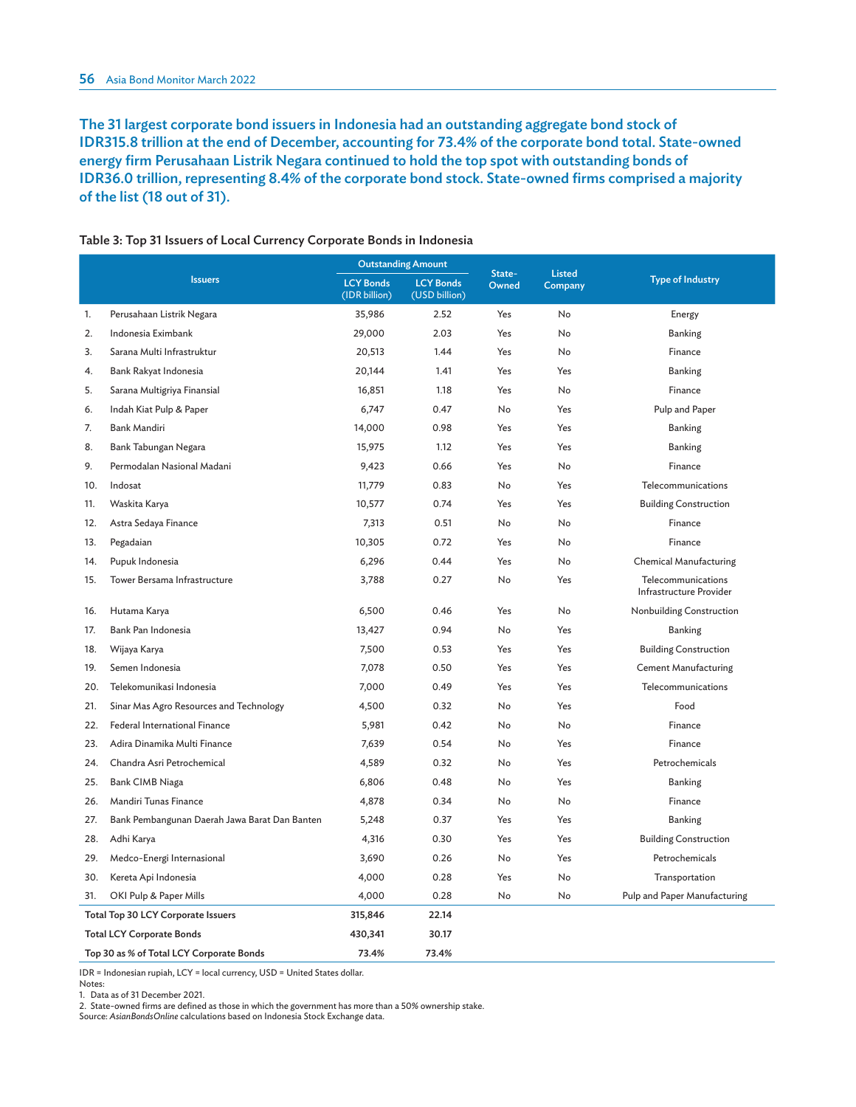The 31 largest corporate bond issuers in Indonesia had an outstanding aggregate bond stock of IDR315.8 trillion at the end of December, accounting for 73.4% of the corporate bond total. State-owned energy firm Perusahaan Listrik Negara continued to hold the top spot with outstanding bonds of IDR36.0 trillion, representing 8.4% of the corporate bond stock. State-owned firms comprised a majority of the list (18 out of 31).

|     |                                               |                                   | <b>Outstanding Amount</b>         |                 |                          |                                               |
|-----|-----------------------------------------------|-----------------------------------|-----------------------------------|-----------------|--------------------------|-----------------------------------------------|
|     | <b>Issuers</b>                                | <b>LCY Bonds</b><br>(IDR billion) | <b>LCY Bonds</b><br>(USD billion) | State-<br>Owned | <b>Listed</b><br>Company | <b>Type of Industry</b>                       |
| 1.  | Perusahaan Listrik Negara                     | 35,986                            | 2.52                              | Yes             | No                       | Energy                                        |
| 2.  | Indonesia Eximbank                            | 29,000                            | 2.03                              | Yes             | No                       | <b>Banking</b>                                |
| 3.  | Sarana Multi Infrastruktur                    | 20,513                            | 1.44                              | Yes             | No                       | Finance                                       |
| 4.  | Bank Rakyat Indonesia                         | 20,144                            | 1.41                              | Yes             | Yes                      | <b>Banking</b>                                |
| 5.  | Sarana Multigriya Finansial                   | 16,851                            | 1.18                              | Yes             | No                       | Finance                                       |
| 6.  | Indah Kiat Pulp & Paper                       | 6,747                             | 0.47                              | No              | Yes                      | Pulp and Paper                                |
| 7.  | Bank Mandiri                                  | 14,000                            | 0.98                              | Yes             | Yes                      | Banking                                       |
| 8.  | Bank Tabungan Negara                          | 15,975                            | 1.12                              | Yes             | Yes                      | <b>Banking</b>                                |
| 9.  | Permodalan Nasional Madani                    | 9,423                             | 0.66                              | Yes             | No                       | Finance                                       |
| 10. | Indosat                                       | 11,779                            | 0.83                              | No              | Yes                      | Telecommunications                            |
| 11. | Waskita Karya                                 | 10,577                            | 0.74                              | Yes             | Yes                      | <b>Building Construction</b>                  |
| 12. | Astra Sedaya Finance                          | 7,313                             | 0.51                              | No              | No                       | Finance                                       |
| 13. | Pegadaian                                     | 10,305                            | 0.72                              | Yes             | No                       | Finance                                       |
| 14. | Pupuk Indonesia                               | 6,296                             | 0.44                              | Yes             | No                       | Chemical Manufacturing                        |
| 15. | Tower Bersama Infrastructure                  | 3,788                             | 0.27                              | No              | Yes                      | Telecommunications<br>Infrastructure Provider |
| 16. | Hutama Karya                                  | 6,500                             | 0.46                              | Yes             | No                       | Nonbuilding Construction                      |
| 17. | Bank Pan Indonesia                            | 13,427                            | 0.94                              | No              | Yes                      | <b>Banking</b>                                |
| 18. | Wijaya Karya                                  | 7,500                             | 0.53                              | Yes             | Yes                      | <b>Building Construction</b>                  |
| 19. | Semen Indonesia                               | 7,078                             | 0.50                              | Yes             | Yes                      | <b>Cement Manufacturing</b>                   |
| 20. | Telekomunikasi Indonesia                      | 7,000                             | 0.49                              | Yes             | Yes                      | Telecommunications                            |
| 21. | Sinar Mas Agro Resources and Technology       | 4,500                             | 0.32                              | No              | Yes                      | Food                                          |
| 22. | Federal International Finance                 | 5,981                             | 0.42                              | No              | No                       | Finance                                       |
| 23. | Adira Dinamika Multi Finance                  | 7,639                             | 0.54                              | No              | Yes                      | Finance                                       |
| 24. | Chandra Asri Petrochemical                    | 4,589                             | 0.32                              | No              | Yes                      | Petrochemicals                                |
| 25. | Bank CIMB Niaga                               | 6,806                             | 0.48                              | No              | Yes                      | Banking                                       |
| 26. | Mandiri Tunas Finance                         | 4,878                             | 0.34                              | No              | No                       | Finance                                       |
| 27. | Bank Pembangunan Daerah Jawa Barat Dan Banten | 5,248                             | 0.37                              | Yes             | Yes                      | <b>Banking</b>                                |
| 28. | Adhi Karya                                    | 4,316                             | 0.30                              | Yes             | Yes                      | <b>Building Construction</b>                  |
| 29. | Medco-Energi Internasional                    | 3,690                             | 0.26                              | No              | Yes                      | Petrochemicals                                |
| 30. | Kereta Api Indonesia                          | 4,000                             | 0.28                              | Yes             | No                       | Transportation                                |
| 31. | OKI Pulp & Paper Mills                        | 4,000                             | 0.28                              | No              | No                       | Pulp and Paper Manufacturing                  |
|     | Total Top 30 LCY Corporate Issuers            | 315,846                           | 22.14                             |                 |                          |                                               |
|     | <b>Total LCY Corporate Bonds</b>              | 430,341                           | 30.17                             |                 |                          |                                               |
|     | Top 30 as % of Total LCY Corporate Bonds      | 73.4%                             | 73.4%                             |                 |                          |                                               |

#### Table 3: Top 31 Issuers of Local Currency Corporate Bonds in Indonesia

IDR = Indonesian rupiah, LCY = local currency, USD = United States dollar.

Notes:

1. Data as of 31 December 2021.

2. State-owned firms are defined as those in which the government has more than a 50% ownership stake.

Source: *AsianBondsOnline* calculations based on Indonesia Stock Exchange data.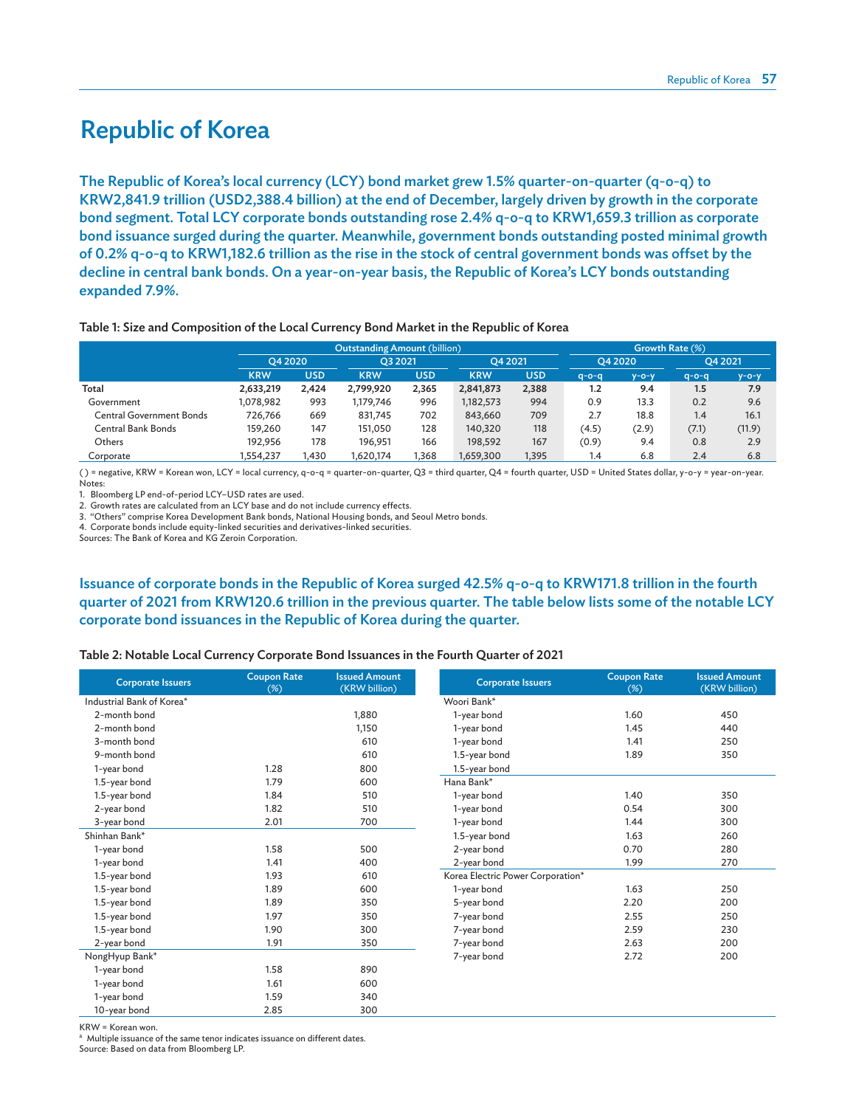### Republic of Korea

The Republic of Korea's local currency (LCY) bond market grew 1.5% quarter-on-quarter (q-o-q) to KRW2,841.9 trillion (USD2,388.4 billion) at the end of December, largely driven by growth in the corporate bond segment. Total LCY corporate bonds outstanding rose 2.4% q-o-q to KRW1,659.3 trillion as corporate bond issuance surged during the quarter. Meanwhile, government bonds outstanding posted minimal growth of 0.2% q-o-q to KRW1,182.6 trillion as the rise in the stock of central government bonds was offset by the decline in central bank bonds. On a year-on-year basis, the Republic of Korea's LCY bonds outstanding expanded 7.9%.

#### Table 1: Size and Composition of the Local Currency Bond Market in the Republic of Korea

|                          |            |         | <b>Outstanding Amount (billion)</b> |            |            | Growth Rate (%) |             |         |             |             |  |
|--------------------------|------------|---------|-------------------------------------|------------|------------|-----------------|-------------|---------|-------------|-------------|--|
|                          |            | O4 2020 |                                     | O3 2021    |            | O4 2021         |             | O4 2020 |             | O4 2021     |  |
|                          | <b>KRW</b> | USD     | <b>KRW</b>                          | <b>USD</b> | <b>KRW</b> | <b>USD</b>      | $q - o - q$ | у-о-у   | $q - o - q$ | $y - o - y$ |  |
| Total                    | 2,633,219  | 2,424   | 2,799,920                           | 2,365      | 2,841,873  | 2,388           | 1.2         | 9.4     | 1.5         | 7.9         |  |
| Government               | 1,078,982  | 993     | 1,179,746                           | 996        | 1,182,573  | 994             | 0.9         | 13.3    | 0.2         | 9.6         |  |
| Central Government Bonds | 726.766    | 669     | 831,745                             | 702        | 843,660    | 709             | 2.7         | 18.8    | 1.4         | 16.1        |  |
| Central Bank Bonds       | 159,260    | 147     | 151.050                             | 128        | 140,320    | 118             | (4.5)       | (2.9)   | (7.1)       | (11.9)      |  |
| Others                   | 192.956    | 178     | 196.951                             | 166        | 198,592    | 167             | (0.9)       | 9.4     | 0.8         | 2.9         |  |
| Corporate                | .554.237   | l.430   | ,620,174                            | ,368       | 1,659,300  | ,395            | 1.4         | 6.8     | 2.4         | 6.8         |  |

( ) = negative, KRW = Korean won, LCY = local currency, q-o-q = quarter-on-quarter, Q3 = third quarter, Q4 = fourth quarter, USD = United States dollar, y-o-y = year-on-year. Notes:

1. Bloomberg LP end-of-period LCY–USD rates are used.

2. Growth rates are calculated from an LCY base and do not include currency effects.

3. "Others" comprise Korea Development Bank bonds, National Housing bonds, and Seoul Metro bonds.

4. Corporate bonds include equity-linked securities and derivatives-linked securities.

Sources: The Bank of Korea and KG Zeroin Corporation.

### Issuance of corporate bonds in the Republic of Korea surged 42.5% q-o-q to KRW171.8 trillion in the fourth quarter of 2021 from KRW120.6 trillion in the previous quarter. The table below lists some of the notable LCY corporate bond issuances in the Republic of Korea during the quarter.

#### Table 2: Notable Local Currency Corporate Bond Issuances in the Fourth Quarter of 2021

| <b>Corporate Issuers</b>  | <b>Coupon Rate</b><br>$(\%)$ | <b>Issued Amount</b><br>(KRW billion) | <b>Corporate Issuers</b>          | <b>Coupon Rate</b><br>$(\%)$ | <b>Issued Amount</b><br>(KRW billion) |
|---------------------------|------------------------------|---------------------------------------|-----------------------------------|------------------------------|---------------------------------------|
| Industrial Bank of Korea* |                              |                                       | Woori Bank*                       |                              |                                       |
| 2-month bond              |                              | 1,880                                 | 1-year bond                       | 1.60                         | 450                                   |
| 2-month bond              |                              | 1,150                                 | 1-year bond                       | 1.45                         | 440                                   |
| 3-month bond              |                              | 610                                   | 1-year bond                       | 1.41                         | 250                                   |
| 9-month bond              |                              | 610                                   | 1.5-year bond                     | 1.89                         | 350                                   |
| 1-year bond               | 1.28                         | 800                                   | 1.5-year bond                     |                              |                                       |
| 1.5-year bond             | 1.79                         | 600                                   | Hana Bank*                        |                              |                                       |
| 1.5-year bond             | 1.84                         | 510                                   | 1-year bond                       | 1.40                         | 350                                   |
| 2-year bond               | 1.82                         | 510                                   | 1-year bond                       | 0.54                         | 300                                   |
| 3-year bond               | 2.01                         | 700                                   | 1-year bond                       | 1.44                         | 300                                   |
| Shinhan Bank*             |                              |                                       | 1.5-year bond                     | 1.63                         | 260                                   |
| 1-year bond               | 1.58                         | 500                                   | 2-year bond                       | 0.70                         | 280                                   |
| 1-year bond               | 1.41                         | 400                                   | 2-year bond                       | 1.99                         | 270                                   |
| 1.5-year bond             | 1.93                         | 610                                   | Korea Electric Power Corporation* |                              |                                       |
| 1.5-year bond             | 1.89                         | 600                                   | 1-year bond                       | 1.63                         | 250                                   |
| 1.5-year bond             | 1.89                         | 350                                   | 5-year bond                       | 2.20                         | 200                                   |
| 1.5-year bond             | 1.97                         | 350                                   | 7-year bond                       | 2.55                         | 250                                   |
| 1.5-year bond             | 1.90                         | 300                                   | 7-year bond                       | 2.59                         | 230                                   |
| 2-year bond               | 1.91                         | 350                                   | 7-year bond                       | 2.63                         | 200                                   |
| NongHyup Bank*            |                              |                                       | 7-year bond                       | 2.72                         | 200                                   |
| 1-year bond               | 1.58                         | 890                                   |                                   |                              |                                       |
| 1-year bond               | 1.61                         | 600                                   |                                   |                              |                                       |
| 1-year bond               | 1.59                         | 340                                   |                                   |                              |                                       |
| 10-year bond              | 2.85                         | 300                                   |                                   |                              |                                       |

KRW = Korean won.

<sup>a</sup> Multiple issuance of the same tenor indicates issuance on different dates.

Source: Based on data from Bloomberg LP.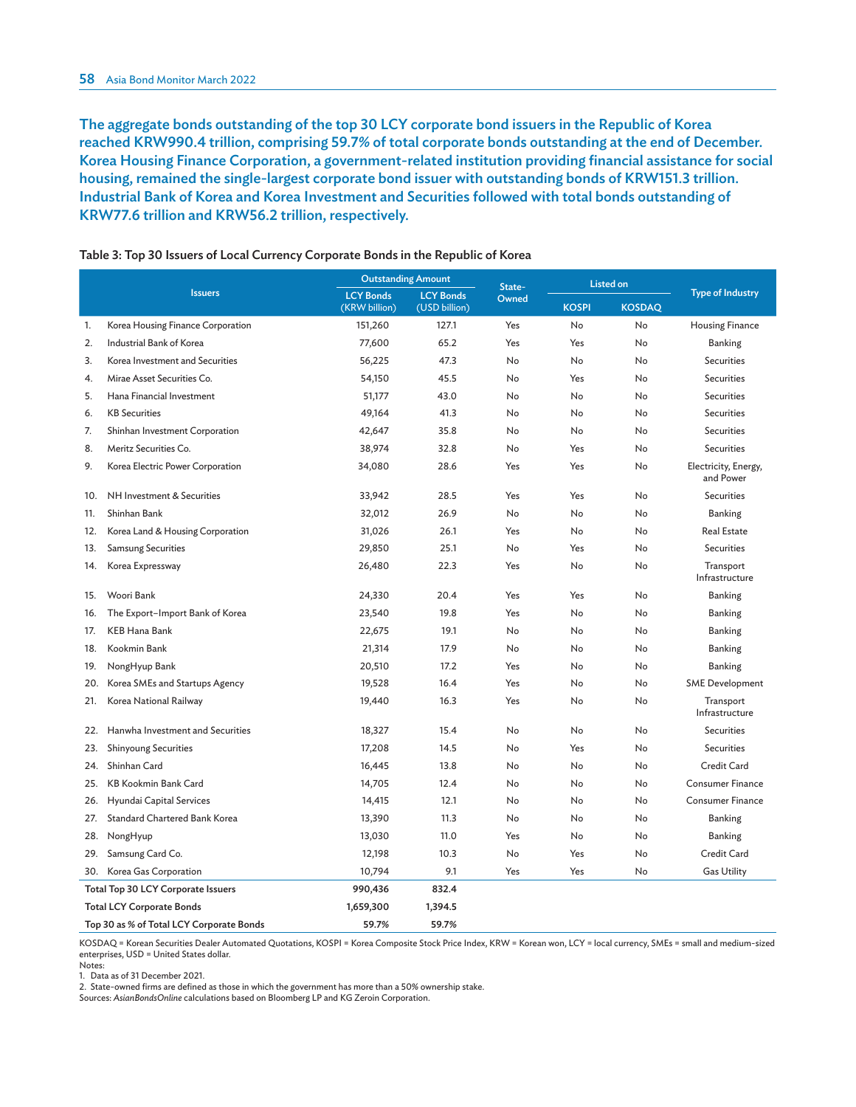The aggregate bonds outstanding of the top 30 LCY corporate bond issuers in the Republic of Korea reached KRW990.4 trillion, comprising 59.7% of total corporate bonds outstanding at the end of December. Korea Housing Finance Corporation, a government-related institution providing financial assistance for social housing, remained the single-largest corporate bond issuer with outstanding bonds of KRW151.3 trillion. Industrial Bank of Korea and Korea Investment and Securities followed with total bonds outstanding of KRW77.6 trillion and KRW56.2 trillion, respectively.

|     |                                          | <b>Outstanding Amount</b>         |                                   | State- |              | <b>Listed on</b> |                                   |
|-----|------------------------------------------|-----------------------------------|-----------------------------------|--------|--------------|------------------|-----------------------------------|
|     | <b>Issuers</b>                           | <b>LCY Bonds</b><br>(KRW billion) | <b>LCY Bonds</b><br>(USD billion) | Owned  | <b>KOSPI</b> | <b>KOSDAQ</b>    | <b>Type of Industry</b>           |
| 1.  | Korea Housing Finance Corporation        | 151,260                           | 127.1                             | Yes    | No           | No               | <b>Housing Finance</b>            |
| 2.  | Industrial Bank of Korea                 | 77,600                            | 65.2                              | Yes    | Yes          | No               | Banking                           |
| 3.  | Korea Investment and Securities          | 56,225                            | 47.3                              | No     | No           | No               | <b>Securities</b>                 |
| 4.  | Mirae Asset Securities Co.               | 54,150                            | 45.5                              | No     | Yes          | No               | <b>Securities</b>                 |
| 5.  | Hana Financial Investment                | 51,177                            | 43.0                              | No     | No           | No               | <b>Securities</b>                 |
| 6.  | <b>KB</b> Securities                     | 49,164                            | 41.3                              | No     | No           | No               | <b>Securities</b>                 |
| 7.  | Shinhan Investment Corporation           | 42,647                            | 35.8                              | No     | No           | No               | <b>Securities</b>                 |
| 8.  | Meritz Securities Co.                    | 38,974                            | 32.8                              | No     | Yes          | No               | <b>Securities</b>                 |
| 9.  | Korea Electric Power Corporation         | 34,080                            | 28.6                              | Yes    | Yes          | No               | Electricity, Energy,<br>and Power |
| 10. | NH Investment & Securities               | 33,942                            | 28.5                              | Yes    | Yes          | No               | <b>Securities</b>                 |
| 11. | Shinhan Bank                             | 32,012                            | 26.9                              | No     | No           | No               | Banking                           |
| 12. | Korea Land & Housing Corporation         | 31,026                            | 26.1                              | Yes    | No           | No               | <b>Real Estate</b>                |
| 13. | <b>Samsung Securities</b>                | 29,850                            | 25.1                              | No     | Yes          | No               | <b>Securities</b>                 |
| 14. | Korea Expressway                         | 26,480                            | 22.3                              | Yes    | No           | No               | Transport<br>Infrastructure       |
| 15. | Woori Bank                               | 24,330                            | 20.4                              | Yes    | Yes          | No               | Banking                           |
| 16. | The Export-Import Bank of Korea          | 23,540                            | 19.8                              | Yes    | No           | No               | Banking                           |
| 17. | KEB Hana Bank                            | 22,675                            | 19.1                              | No     | No           | No               | Banking                           |
| 18. | Kookmin Bank                             | 21,314                            | 17.9                              | No     | No           | No               | Banking                           |
| 19. | NongHyup Bank                            | 20,510                            | 17.2                              | Yes    | No           | No               | Banking                           |
| 20. | Korea SMEs and Startups Agency           | 19,528                            | 16.4                              | Yes    | No           | No               | <b>SME</b> Development            |
| 21. | Korea National Railway                   | 19,440                            | 16.3                              | Yes    | No           | No               | Transport<br>Infrastructure       |
| 22. | Hanwha Investment and Securities         | 18,327                            | 15.4                              | No     | No           | No               | <b>Securities</b>                 |
| 23. | <b>Shinyoung Securities</b>              | 17,208                            | 14.5                              | No     | Yes          | No               | <b>Securities</b>                 |
| 24. | Shinhan Card                             | 16,445                            | 13.8                              | No     | No           | No               | Credit Card                       |
| 25. | <b>KB Kookmin Bank Card</b>              | 14,705                            | 12.4                              | No     | No           | No               | Consumer Finance                  |
| 26. | Hyundai Capital Services                 | 14,415                            | 12.1                              | No     | No           | No               | <b>Consumer Finance</b>           |
| 27. | Standard Chartered Bank Korea            | 13,390                            | 11.3                              | No     | No           | No               | Banking                           |
| 28. | NongHyup                                 | 13,030                            | 11.0                              | Yes    | No           | No               | Banking                           |
| 29. | Samsung Card Co.                         | 12,198                            | 10.3                              | No     | Yes          | No               | Credit Card                       |
| 30. | Korea Gas Corporation                    | 10,794                            | 9.1                               | Yes    | Yes          | No               | <b>Gas Utility</b>                |
|     | Total Top 30 LCY Corporate Issuers       | 990,436                           | 832.4                             |        |              |                  |                                   |
|     | <b>Total LCY Corporate Bonds</b>         | 1,659,300                         | 1,394.5                           |        |              |                  |                                   |
|     | Top 30 as % of Total LCY Corporate Bonds | 59.7%                             | 59.7%                             |        |              |                  |                                   |

#### Table 3: Top 30 Issuers of Local Currency Corporate Bonds in the Republic of Korea

KOSDAQ = Korean Securities Dealer Automated Quotations, KOSPI = Korea Composite Stock Price Index, KRW = Korean won, LCY = local currency, SMEs = small and medium-sized enterprises, USD = United States dollar. Notes:

1. Data as of 31 December 2021.

2. State-owned firms are defined as those in which the government has more than a 50% ownership stake.

Sources: *AsianBondsOnline* calculations based on Bloomberg LP and KG Zeroin Corporation.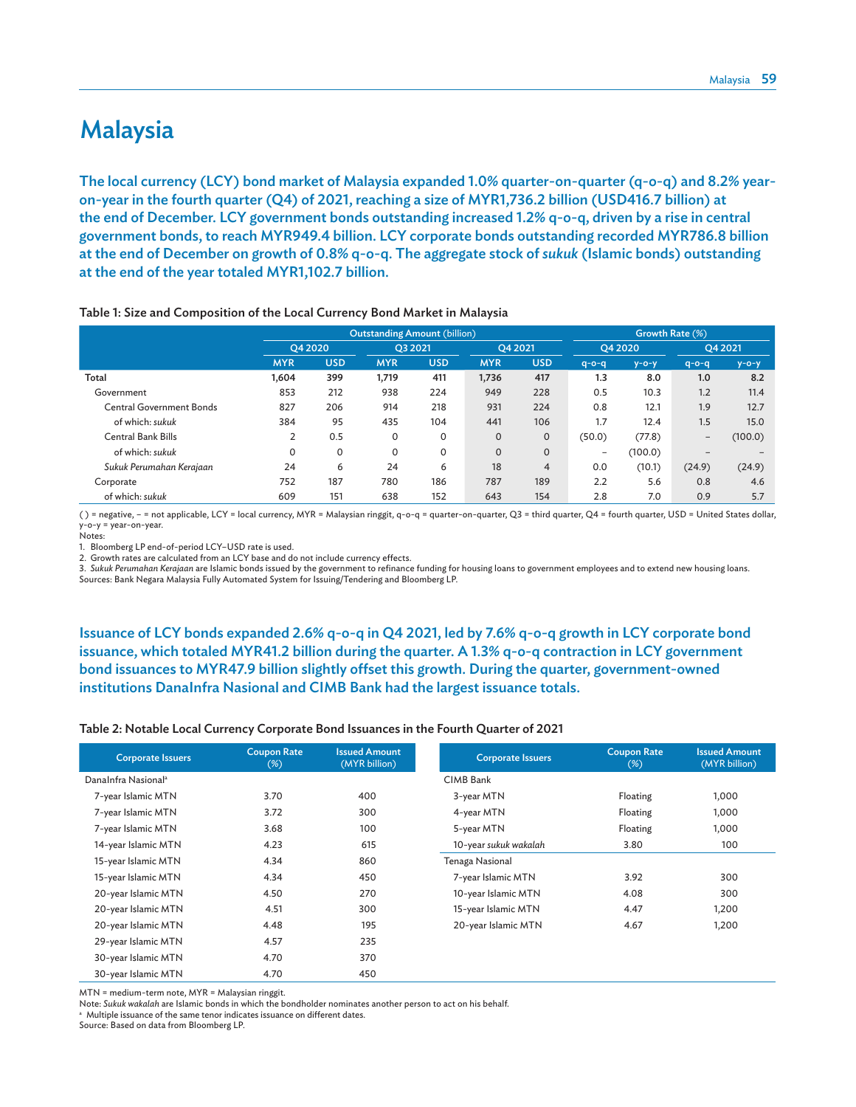### Malaysia

The local currency (LCY) bond market of Malaysia expanded 1.0% quarter-on-quarter (q-o-q) and 8.2% yearon-year in the fourth quarter (Q4) of 2021, reaching a size of MYR1,736.2 billion (USD416.7 billion) at the end of December. LCY government bonds outstanding increased 1.2% q-o-q, driven by a rise in central government bonds, to reach MYR949.4 billion. LCY corporate bonds outstanding recorded MYR786.8 billion at the end of December on growth of 0.8% q-o-q. The aggregate stock of *sukuk* (Islamic bonds) outstanding at the end of the year totaled MYR1,102.7 billion.

|                                 |            |            | <b>Outstanding Amount (billion)</b> |            |              |                |             | Growth Rate (%) |                          |             |
|---------------------------------|------------|------------|-------------------------------------|------------|--------------|----------------|-------------|-----------------|--------------------------|-------------|
|                                 | O4 2020    |            | O3 2021                             |            | O4 2021      |                |             | O4 2020         |                          | O4 2021     |
|                                 | <b>MYR</b> | <b>USD</b> | <b>MYR</b>                          | <b>USD</b> | <b>MYR</b>   | <b>USD</b>     | $q - o - q$ | $y - o - y$     | $q - o - q$              | $y - o - y$ |
| Total                           | 1.604      | 399        | 1,719                               | 411        | 1,736        | 417            | 1.3         | 8.0             | 1.0                      | 8.2         |
| Government                      | 853        | 212        | 938                                 | 224        | 949          | 228            | 0.5         | 10.3            | 1.2                      | 11.4        |
| <b>Central Government Bonds</b> | 827        | 206        | 914                                 | 218        | 931          | 224            | 0.8         | 12.1            | 1.9                      | 12.7        |
| of which: sukuk                 | 384        | 95         | 435                                 | 104        | 441          | 106            | 1.7         | 12.4            | 1.5                      | 15.0        |
| <b>Central Bank Bills</b>       |            | 0.5        | 0                                   | 0          | 0            | $\mathbf{0}$   | (50.0)      | (77.8)          | $\overline{\phantom{m}}$ | (100.0)     |
| of which: sukuk                 | $\Omega$   | 0          | 0                                   | 0          | $\mathbf{O}$ | $\mathbf{0}$   | -           | (100.0)         | $\overline{\phantom{0}}$ |             |
| Sukuk Perumahan Kerajaan        | 24         | 6          | 24                                  | 6          | 18           | $\overline{4}$ | 0.0         | (10.1)          | (24.9)                   | (24.9)      |
| Corporate                       | 752        | 187        | 780                                 | 186        | 787          | 189            | 2.2         | 5.6             | 0.8                      | 4.6         |
| of which: sukuk                 | 609        | 151        | 638                                 | 152        | 643          | 154            | 2.8         | 7.0             | 0.9                      | 5.7         |

Table 1: Size and Composition of the Local Currency Bond Market in Malaysia

( ) = negative, – = not applicable, LCY = local currency, MYR = Malaysian ringgit, q-o-q = quarter-on-quarter, Q3 = third quarter, Q4 = fourth quarter, USD = United States dollar, y-o-y = year-on-year. Notes:

1. Bloomberg LP end-of-period LCY–USD rate is used.

2. Growth rates are calculated from an LCY base and do not include currency effects.

3. *Sukuk Perumahan Kerajaan* are Islamic bonds issued by the government to refinance funding for housing loans to government employees and to extend new housing loans. Sources: Bank Negara Malaysia Fully Automated System for Issuing/Tendering and Bloomberg LP.

Issuance of LCY bonds expanded 2.6% q-o-q in Q4 2021, led by 7.6% q-o-q growth in LCY corporate bond issuance, which totaled MYR41.2 billion during the quarter. A 1.3% q-o-q contraction in LCY government bond issuances to MYR47.9 billion slightly offset this growth. During the quarter, government-owned institutions DanaInfra Nasional and CIMB Bank had the largest issuance totals.

#### Table 2: Notable Local Currency Corporate Bond Issuances in the Fourth Quarter of 2021

| <b>Corporate Issuers</b>        | <b>Coupon Rate</b><br>$(\%)$ | <b>Issued Amount</b><br>(MYR billion) | <b>Corporate Issuers</b> | <b>Coupon Rate</b><br>$(\%)$ | <b>Issued Amount</b><br>(MYR billion) |
|---------------------------------|------------------------------|---------------------------------------|--------------------------|------------------------------|---------------------------------------|
| DanaInfra Nasional <sup>a</sup> |                              |                                       | CIMB Bank                |                              |                                       |
| 7-year Islamic MTN              | 3.70                         | 400                                   | 3-year MTN               | Floating                     | 1,000                                 |
| 7-year Islamic MTN              | 3.72                         | 300                                   | 4-year MTN               | Floating                     | 1,000                                 |
| 7-year Islamic MTN              | 3.68                         | 100                                   | 5-year MTN               | Floating                     | 1,000                                 |
| 14-year Islamic MTN             | 4.23                         | 615                                   | 10-year sukuk wakalah    | 3.80                         | 100                                   |
| 15-year Islamic MTN             | 4.34                         | 860                                   | Tenaga Nasional          |                              |                                       |
| 15-year Islamic MTN             | 4.34                         | 450                                   | 7-year Islamic MTN       | 3.92                         | 300                                   |
| 20-year Islamic MTN             | 4.50                         | 270                                   | 10-year Islamic MTN      | 4.08                         | 300                                   |
| 20-year Islamic MTN             | 4.51                         | 300                                   | 15-year Islamic MTN      | 4.47                         | 1,200                                 |
| 20-year Islamic MTN             | 4.48                         | 195                                   | 20-year Islamic MTN      | 4.67                         | 1,200                                 |
| 29-year Islamic MTN             | 4.57                         | 235                                   |                          |                              |                                       |
| 30-year Islamic MTN             | 4.70                         | 370                                   |                          |                              |                                       |
| 30-year Islamic MTN             | 4.70                         | 450                                   |                          |                              |                                       |

MTN = medium-term note, MYR = Malaysian ringgit.

Note: *Sukuk wakalah* are Islamic bonds in which the bondholder nominates another person to act on his behalf.

a Multiple issuance of the same tenor indicates issuance on different dates.

Source: Based on data from Bloomberg LP.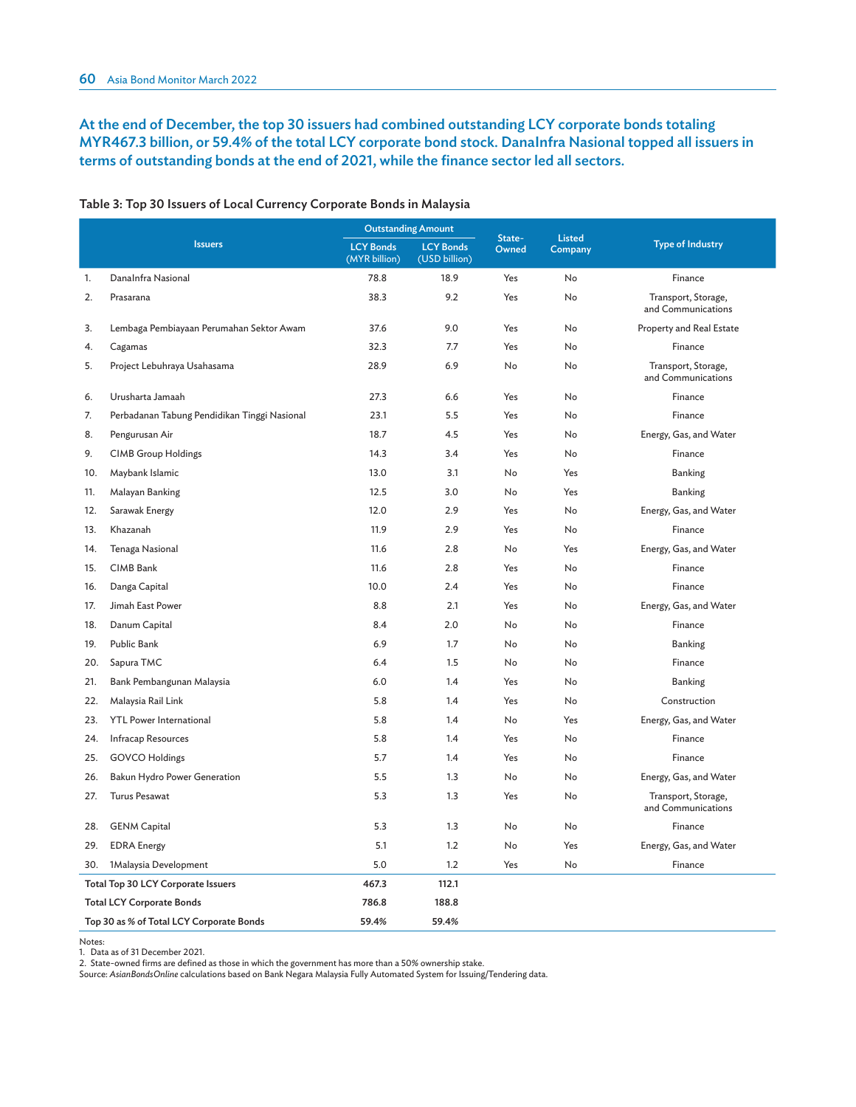### At the end of December, the top 30 issuers had combined outstanding LCY corporate bonds totaling MYR467.3 billion, or 59.4% of the total LCY corporate bond stock. DanaInfra Nasional topped all issuers in terms of outstanding bonds at the end of 2021, while the finance sector led all sectors.

|     |                                              |                                   | <b>Outstanding Amount</b>         |                 |                          |                                           |
|-----|----------------------------------------------|-----------------------------------|-----------------------------------|-----------------|--------------------------|-------------------------------------------|
|     | <b>Issuers</b>                               | <b>LCY Bonds</b><br>(MYR billion) | <b>LCY Bonds</b><br>(USD billion) | State-<br>Owned | <b>Listed</b><br>Company | <b>Type of Industry</b>                   |
| 1.  | DanaInfra Nasional                           | 78.8                              | 18.9                              | Yes             | No                       | Finance                                   |
| 2.  | Prasarana                                    | 38.3                              | 9.2                               | Yes             | No                       | Transport, Storage,<br>and Communications |
| 3.  | Lembaga Pembiayaan Perumahan Sektor Awam     | 37.6                              | 9.0                               | Yes             | No                       | Property and Real Estate                  |
| 4.  | Cagamas                                      | 32.3                              | 7.7                               | Yes             | No                       | Finance                                   |
| 5.  | Project Lebuhraya Usahasama                  | 28.9                              | 6.9                               | No              | No                       | Transport, Storage,<br>and Communications |
| 6.  | Urusharta Jamaah                             | 27.3                              | 6.6                               | Yes             | <b>No</b>                | Finance                                   |
| 7.  | Perbadanan Tabung Pendidikan Tinggi Nasional | 23.1                              | 5.5                               | Yes             | No                       | Finance                                   |
| 8.  | Pengurusan Air                               | 18.7                              | 4.5                               | Yes             | No                       | Energy, Gas, and Water                    |
| 9.  | <b>CIMB Group Holdings</b>                   | 14.3                              | 3.4                               | Yes             | No                       | Finance                                   |
| 10. | Maybank Islamic                              | 13.0                              | 3.1                               | No              | Yes                      | Banking                                   |
| 11. | Malayan Banking                              | 12.5                              | 3.0                               | No              | Yes                      | Banking                                   |
| 12. | Sarawak Energy                               | 12.0                              | 2.9                               | Yes             | No                       | Energy, Gas, and Water                    |
| 13. | Khazanah                                     | 11.9                              | 2.9                               | Yes             | No                       | Finance                                   |
| 14. | Tenaga Nasional                              | 11.6                              | 2.8                               | No              | Yes                      | Energy, Gas, and Water                    |
| 15. | CIMB Bank                                    | 11.6                              | 2.8                               | Yes             | No                       | Finance                                   |
| 16. | Danga Capital                                | 10.0                              | 2.4                               | Yes             | <b>No</b>                | Finance                                   |
| 17. | Jimah East Power                             | 8.8                               | 2.1                               | Yes             | No                       | Energy, Gas, and Water                    |
| 18. | Danum Capital                                | 8.4                               | 2.0                               | No              | No                       | Finance                                   |
| 19. | Public Bank                                  | 6.9                               | 1.7                               | No              | No                       | Banking                                   |
| 20. | Sapura TMC                                   | 6.4                               | 1.5                               | No              | No                       | Finance                                   |
| 21. | Bank Pembangunan Malaysia                    | 6.0                               | 1.4                               | Yes             | No                       | Banking                                   |
| 22. | Malaysia Rail Link                           | 5.8                               | 1.4                               | Yes             | No                       | Construction                              |
| 23. | <b>YTL Power International</b>               | 5.8                               | 1.4                               | No              | Yes                      | Energy, Gas, and Water                    |
| 24. | <b>Infracap Resources</b>                    | 5.8                               | 1.4                               | Yes             | No                       | Finance                                   |
| 25. | <b>GOVCO Holdings</b>                        | 5.7                               | 1.4                               | Yes             | No                       | Finance                                   |
| 26. | Bakun Hydro Power Generation                 | 5.5                               | 1.3                               | No              | No                       | Energy, Gas, and Water                    |
| 27. | <b>Turus Pesawat</b>                         | 5.3                               | 1.3                               | Yes             | No                       | Transport, Storage,<br>and Communications |
| 28. | <b>GENM Capital</b>                          | 5.3                               | 1.3                               | No              | No                       | Finance                                   |
| 29. | <b>EDRA</b> Energy                           | 5.1                               | 1.2                               | No              | Yes                      | Energy, Gas, and Water                    |
| 30. | 1Malaysia Development                        | 5.0                               | 1.2                               | Yes             | No                       | Finance                                   |
|     | Total Top 30 LCY Corporate Issuers           | 467.3                             | 112.1                             |                 |                          |                                           |
|     | <b>Total LCY Corporate Bonds</b>             | 786.8                             | 188.8                             |                 |                          |                                           |
|     | Top 30 as % of Total LCY Corporate Bonds     | 59.4%                             | 59.4%                             |                 |                          |                                           |

#### Table 3: Top 30 Issuers of Local Currency Corporate Bonds in Malaysia

Notes: 1. Data as of 31 December 2021.

2. State-owned firms are defined as those in which the government has more than a 50% ownership stake.

Source: *AsianBondsOnline* calculations based on Bank Negara Malaysia Fully Automated System for Issuing/Tendering data.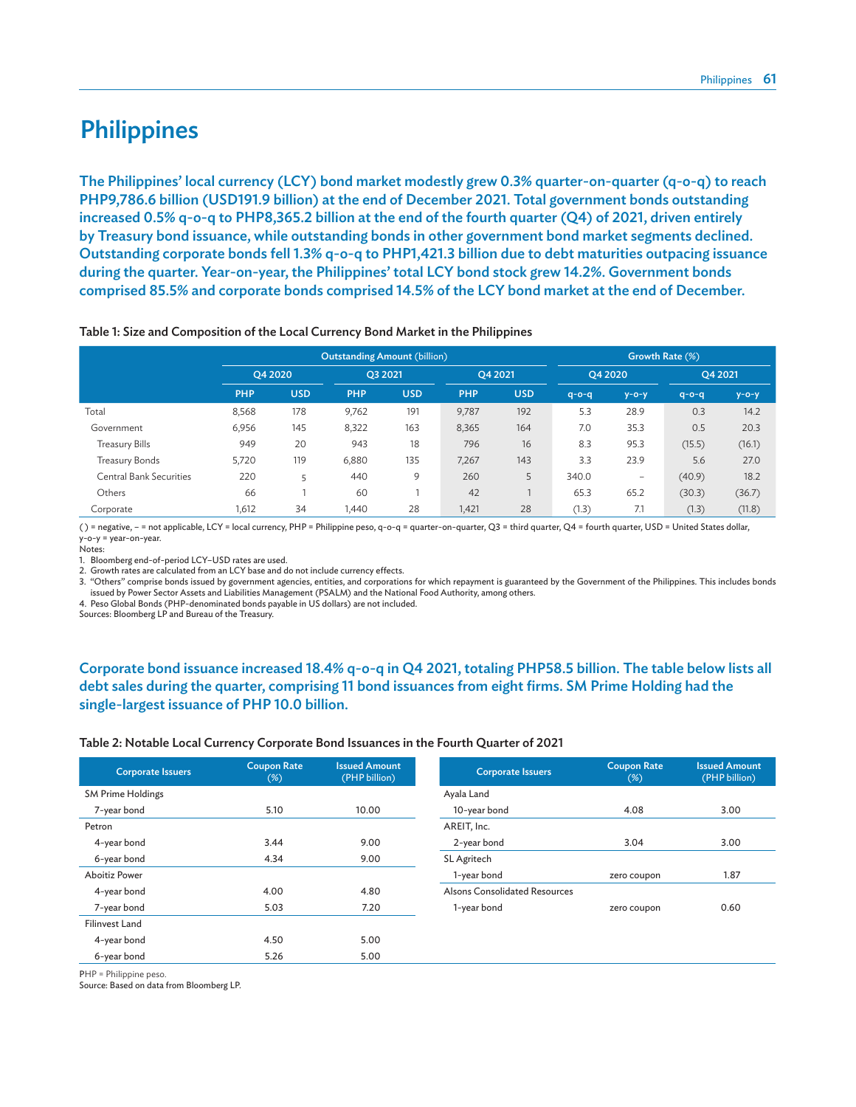# **Philippines**

The Philippines' local currency (LCY) bond market modestly grew 0.3% quarter-on-quarter (q-o-q) to reach PHP9,786.6 billion (USD191.9 billion) at the end of December 2021. Total government bonds outstanding increased 0.5% q-o-q to PHP8,365.2 billion at the end of the fourth quarter (Q4) of 2021, driven entirely by Treasury bond issuance, while outstanding bonds in other government bond market segments declined. Outstanding corporate bonds fell 1.3% q-o-q to PHP1,421.3 billion due to debt maturities outpacing issuance during the quarter. Year-on-year, the Philippines' total LCY bond stock grew 14.2%. Government bonds comprised 85.5% and corporate bonds comprised 14.5% of the LCY bond market at the end of December.

|                                |            |            | <b>Outstanding Amount (billion)</b> |            |            | Growth Rate (%) |             |                 |             |             |  |
|--------------------------------|------------|------------|-------------------------------------|------------|------------|-----------------|-------------|-----------------|-------------|-------------|--|
|                                |            | O4 2020    | O3 2021                             |            | O4 2021    |                 | O4 2020     |                 | O4 2021     |             |  |
|                                | <b>PHP</b> | <b>USD</b> | <b>PHP</b>                          | <b>USD</b> | <b>PHP</b> | <b>USD</b>      | $q - o - q$ | $y - o - y$     | $q - o - q$ | $y - o - y$ |  |
| Total                          | 8,568      | 178        | 9,762                               | 191        | 9,787      | 192             | 5.3         | 28.9            | 0.3         | 14.2        |  |
| Government                     | 6,956      | 145        | 8,322                               | 163        | 8,365      | 164             | 7.0         | 35.3            | 0.5         | 20.3        |  |
| <b>Treasury Bills</b>          | 949        | 20         | 943                                 | 18         | 796        | 16              | 8.3         | 95.3            | (15.5)      | (16.1)      |  |
| Treasury Bonds                 | 5,720      | 119        | 6,880                               | 135        | 7,267      | 143             | 3.3         | 23.9            | 5.6         | 27.0        |  |
| <b>Central Bank Securities</b> | 220        | 5          | 440                                 | 9          | 260        | 5               | 340.0       | $\qquad \qquad$ | (40.9)      | 18.2        |  |
| Others                         | 66         |            | 60                                  |            | 42         |                 | 65.3        | 65.2            | (30.3)      | (36.7)      |  |
| Corporate                      | 1,612      | 34         | 1,440                               | 28         | 1,421      | 28              | (1.3)       | 7.1             | (1.3)       | (11.8)      |  |

#### Table 1: Size and Composition of the Local Currency Bond Market in the Philippines

( ) = negative, – = not applicable, LCY = local currency, PHP = Philippine peso, q-o-q = quarter-on-quarter, Q3 = third quarter, Q4 = fourth quarter, USD = United States dollar, y-o-y = year-on-year.

Notes:

1. Bloomberg end-of-period LCY–USD rates are used.

2. Growth rates are calculated from an LCY base and do not include currency effects.

3. "Others" comprise bonds issued by government agencies, entities, and corporations for which repayment is guaranteed by the Government of the Philippines. This includes bonds issued by Power Sector Assets and Liabilities Management (PSALM) and the National Food Authority, among others.

4. Peso Global Bonds (PHP-denominated bonds payable in US dollars) are not included.

Sources: Bloomberg LP and Bureau of the Treasury.

### Corporate bond issuance increased 18.4% q-o-q in Q4 2021, totaling PHP58.5 billion. The table below lists all debt sales during the quarter, comprising 11 bond issuances from eight firms. SM Prime Holding had the single-largest issuance of PHP 10.0 billion.

#### Table 2: Notable Local Currency Corporate Bond Issuances in the Fourth Quarter of 2021

| <b>Corporate Issuers</b> | <b>Coupon Rate</b><br>$(\%)$ | <b>Issued Amount</b><br>(PHP billion) | <b>Corporate Issuers</b>      | <b>Coupon Rate</b><br>$(\%)$ | <b>Issued Amount</b><br>(PHP billion) |
|--------------------------|------------------------------|---------------------------------------|-------------------------------|------------------------------|---------------------------------------|
| <b>SM Prime Holdings</b> |                              |                                       | Ayala Land                    |                              |                                       |
| 7-year bond              | 5.10                         | 10.00                                 | 10-year bond                  | 4.08                         | 3.00                                  |
| Petron                   |                              |                                       | AREIT, Inc.                   |                              |                                       |
| 4-year bond              | 3.44                         | 9.00                                  | 2-year bond                   | 3.04                         | 3.00                                  |
| 6-year bond              | 4.34                         | 9.00                                  | SL Agritech                   |                              |                                       |
| <b>Aboitiz Power</b>     |                              |                                       | 1-year bond                   | zero coupon                  | 1.87                                  |
| 4-year bond              | 4.00                         | 4.80                                  | Alsons Consolidated Resources |                              |                                       |
| 7-year bond              | 5.03                         | 7.20                                  | 1-year bond                   | zero coupon                  | 0.60                                  |
| <b>Filinvest Land</b>    |                              |                                       |                               |                              |                                       |
| 4-year bond              | 4.50                         | 5.00                                  |                               |                              |                                       |
| 6-year bond              | 5.26                         | 5.00                                  |                               |                              |                                       |

PHP = Philippine peso.

Source: Based on data from Bloomberg LP.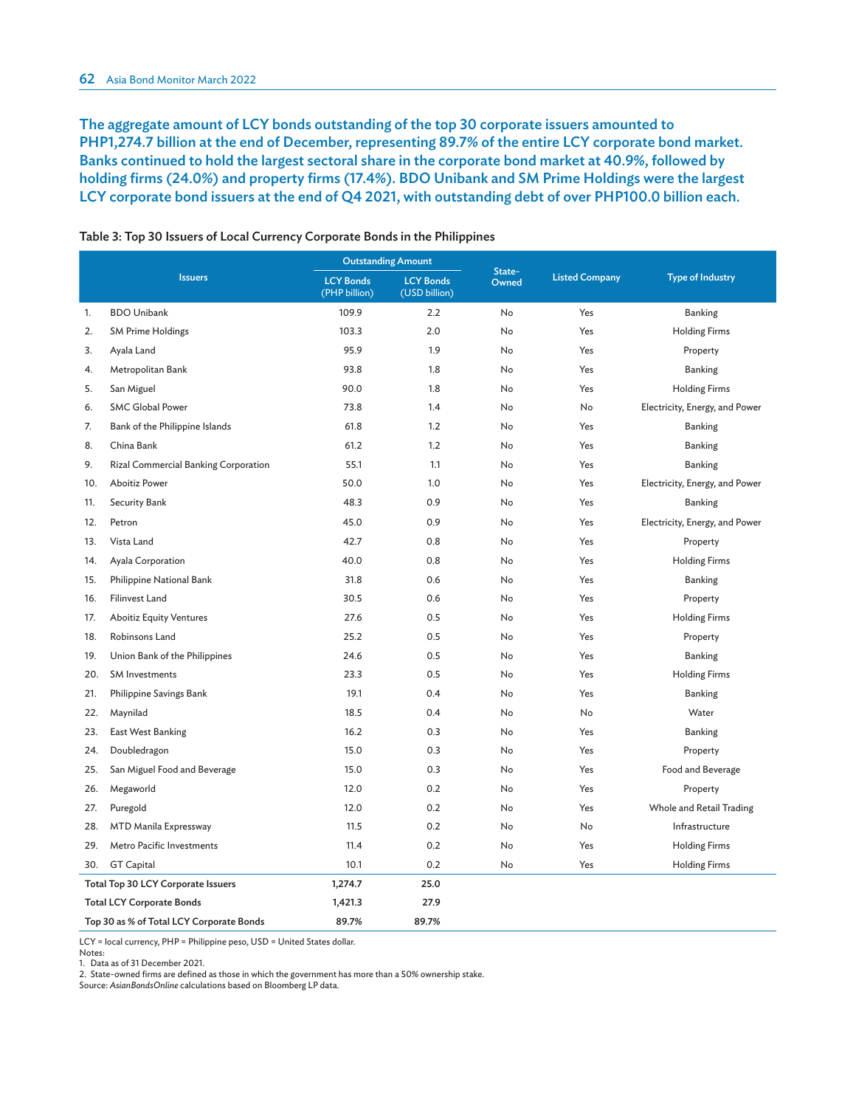The aggregate amount of LCY bonds outstanding of the top 30 corporate issuers amounted to PHP1,274.7 billion at the end of December, representing 89.7% of the entire LCY corporate bond market. Banks continued to hold the largest sectoral share in the corporate bond market at 40.9%, followed by holding firms (24.0%) and property firms (17.4%). BDO Unibank and SM Prime Holdings were the largest LCY corporate bond issuers at the end of Q4 2021, with outstanding debt of over PHP100.0 billion each.

|     |                                          |                                   | <b>Outstanding Amount</b>         |                 |                       |                                |  |
|-----|------------------------------------------|-----------------------------------|-----------------------------------|-----------------|-----------------------|--------------------------------|--|
|     | <b>Issuers</b>                           | <b>LCY Bonds</b><br>(PHP billion) | <b>LCY Bonds</b><br>(USD billion) | State-<br>Owned | <b>Listed Company</b> | <b>Type of Industry</b>        |  |
| 1.  | <b>BDO Unibank</b>                       | 109.9                             | 2.2                               | No              | Yes                   | Banking                        |  |
| 2.  | <b>SM Prime Holdings</b>                 | 103.3                             | 2.0                               | No              | Yes                   | <b>Holding Firms</b>           |  |
| 3.  | Ayala Land                               | 95.9                              | 1.9                               | No              | Yes                   | Property                       |  |
| 4.  | Metropolitan Bank                        | 93.8                              | 1.8                               | No              | Yes                   | <b>Banking</b>                 |  |
| 5.  | San Miguel                               | 90.0                              | 1.8                               | No              | Yes                   | <b>Holding Firms</b>           |  |
| 6.  | <b>SMC Global Power</b>                  | 73.8                              | 1.4                               | No              | No                    | Electricity, Energy, and Power |  |
| 7.  | Bank of the Philippine Islands           | 61.8                              | 1.2                               | No              | Yes                   | <b>Banking</b>                 |  |
| 8.  | China Bank                               | 61.2                              | 1.2                               | No              | Yes                   | <b>Banking</b>                 |  |
| 9.  | Rizal Commercial Banking Corporation     | 55.1                              | 1.1                               | No              | Yes                   | <b>Banking</b>                 |  |
| 10. | <b>Aboitiz Power</b>                     | 50.0                              | 1.0                               | No              | Yes                   | Electricity, Energy, and Power |  |
| 11. | <b>Security Bank</b>                     | 48.3                              | 0.9                               | No              | Yes                   | <b>Banking</b>                 |  |
| 12. | Petron                                   | 45.0                              | 0.9                               | No              | Yes                   | Electricity, Energy, and Power |  |
| 13. | Vista Land                               | 42.7                              | 0.8                               | No              | Yes                   | Property                       |  |
| 14. | Ayala Corporation                        | 40.0                              | 0.8                               | No              | Yes                   | <b>Holding Firms</b>           |  |
| 15. | Philippine National Bank                 | 31.8                              | 0.6                               | No              | Yes                   | <b>Banking</b>                 |  |
| 16. | <b>Filinvest Land</b>                    | 30.5                              | 0.6                               | No              | Yes                   | Property                       |  |
| 17. | <b>Aboitiz Equity Ventures</b>           | 27.6                              | 0.5                               | No              | Yes                   | <b>Holding Firms</b>           |  |
| 18. | Robinsons Land                           | 25.2                              | 0.5                               | No              | Yes                   | Property                       |  |
| 19. | Union Bank of the Philippines            | 24.6                              | 0.5                               | No              | Yes                   | <b>Banking</b>                 |  |
| 20. | <b>SM Investments</b>                    | 23.3                              | 0.5                               | No              | Yes                   | <b>Holding Firms</b>           |  |
| 21. | Philippine Savings Bank                  | 19.1                              | 0.4                               | No              | Yes                   | <b>Banking</b>                 |  |
| 22. | Maynilad                                 | 18.5                              | 0.4                               | No              | No                    | Water                          |  |
| 23. | East West Banking                        | 16.2                              | 0.3                               | No              | Yes                   | <b>Banking</b>                 |  |
| 24. | Doubledragon                             | 15.0                              | 0.3                               | No              | Yes                   | Property                       |  |
| 25. | San Miguel Food and Beverage             | 15.0                              | 0.3                               | No              | Yes                   | Food and Beverage              |  |
| 26. | Megaworld                                | 12.0                              | 0.2                               | No              | Yes                   | Property                       |  |
| 27. | Puregold                                 | 12.0                              | 0.2                               | No              | Yes                   | Whole and Retail Trading       |  |
| 28. | MTD Manila Expressway                    | 11.5                              | 0.2                               | No              | No                    | Infrastructure                 |  |
| 29. | Metro Pacific Investments                | 11.4                              | 0.2                               | No              | Yes                   | <b>Holding Firms</b>           |  |
| 30. | <b>GT Capital</b>                        | 10.1                              | 0.2                               | No              | Yes                   | <b>Holding Firms</b>           |  |
|     | Total Top 30 LCY Corporate Issuers       | 1,274.7                           | 25.0                              |                 |                       |                                |  |
|     | <b>Total LCY Corporate Bonds</b>         | 1,421.3                           | 27.9                              |                 |                       |                                |  |
|     | Top 30 as % of Total LCY Corporate Bonds | 89.7%                             | 89.7%                             |                 |                       |                                |  |

Table 3: Top 30 Issuers of Local Currency Corporate Bonds in the Philippines

LCY = local currency, PHP = Philippine peso, USD = United States dollar.

Notes:

1. Data as of 31 December 2021.

2. State-owned firms are defined as those in which the government has more than a 50% ownership stake.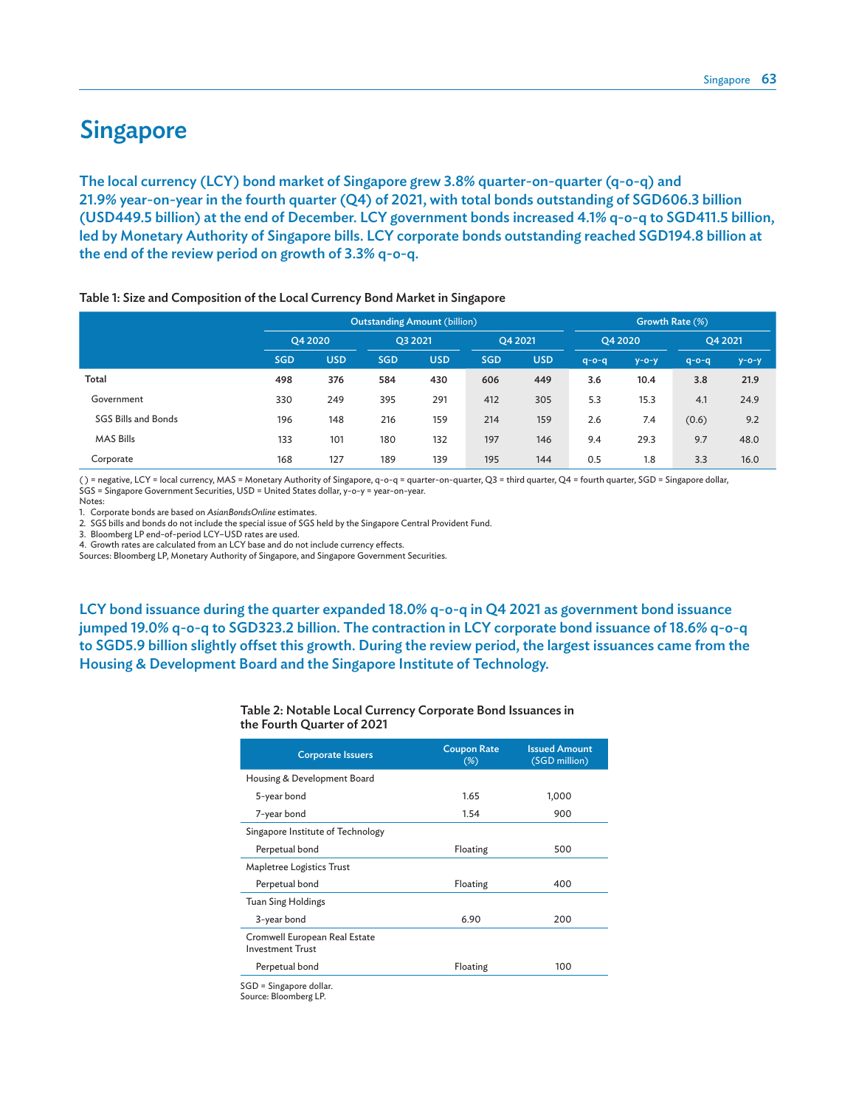# **Singapore**

The local currency (LCY) bond market of Singapore grew 3.8% quarter-on-quarter (q-o-q) and 21.9% year-on-year in the fourth quarter (Q4) of 2021, with total bonds outstanding of SGD606.3 billion (USD449.5 billion) at the end of December. LCY government bonds increased 4.1% q-o-q to SGD411.5 billion, led by Monetary Authority of Singapore bills. LCY corporate bonds outstanding reached SGD194.8 billion at the end of the review period on growth of 3.3% q-o-q.

|                     |            |            | <b>Outstanding Amount (billion)</b> | Growth Rate (%) |            |            |             |             |             |             |
|---------------------|------------|------------|-------------------------------------|-----------------|------------|------------|-------------|-------------|-------------|-------------|
|                     |            | O4 2020    | O3 2021                             |                 | O4 2021    |            | O4 2020     |             | O4 2021     |             |
|                     | <b>SGD</b> | <b>USD</b> | <b>SGD</b>                          | <b>USD</b>      | <b>SGD</b> | <b>USD</b> | $q - o - q$ | $y - o - y$ | $q - o - q$ | $y - o - y$ |
| Total               | 498        | 376        | 584                                 | 430             | 606        | 449        | 3.6         | 10.4        | 3.8         | 21.9        |
| Government          | 330        | 249        | 395                                 | 291             | 412        | 305        | 5.3         | 15.3        | 4.1         | 24.9        |
| SGS Bills and Bonds | 196        | 148        | 216                                 | 159             | 214        | 159        | 2.6         | 7.4         | (0.6)       | 9.2         |
| <b>MAS Bills</b>    | 133        | 101        | 180                                 | 132             | 197        | 146        | 9.4         | 29.3        | 9.7         | 48.0        |
| Corporate           | 168        | 127        | 189                                 | 139             | 195        | 144        | 0.5         | 1.8         | 3.3         | 16.0        |

Table 1: Size and Composition of the Local Currency Bond Market in Singapore

( ) = negative, LCY = local currency, MAS = Monetary Authority of Singapore, q-o-q = quarter-on-quarter, Q3 = third quarter, Q4 = fourth quarter, SGD = Singapore dollar, SGS = Singapore Government Securities, USD = United States dollar, y-o-y = year-on-year.

Notes:

1. Corporate bonds are based on *AsianBondsOnline* estimates.

2. SGS bills and bonds do not include the special issue of SGS held by the Singapore Central Provident Fund.

3. Bloomberg LP end-of-period LCY–USD rates are used.

4. Growth rates are calculated from an LCY base and do not include currency effects.

Sources: Bloomberg LP, Monetary Authority of Singapore, and Singapore Government Securities.

LCY bond issuance during the quarter expanded 18.0% q-o-q in Q4 2021 as government bond issuance jumped 19.0% q-o-q to SGD323.2 billion. The contraction in LCY corporate bond issuance of 18.6% q-o-q to SGD5.9 billion slightly offset this growth. During the review period, the largest issuances came from the Housing & Development Board and the Singapore Institute of Technology.

#### Table 2: Notable Local Currency Corporate Bond Issuances in the Fourth Quarter of 2021

| <b>Corporate Issuers</b>                                 | <b>Coupon Rate</b><br>$(\%)$ | <b>Issued Amount</b><br>(SGD million) |
|----------------------------------------------------------|------------------------------|---------------------------------------|
| Housing & Development Board                              |                              |                                       |
| 5-year bond                                              | 1.65                         | 1,000                                 |
| 7-year bond                                              | 1.54                         | 900                                   |
| Singapore Institute of Technology                        |                              |                                       |
| Perpetual bond                                           | Floating                     | 500                                   |
| Mapletree Logistics Trust                                |                              |                                       |
| Perpetual bond                                           | Floating                     | 400                                   |
| Tuan Sing Holdings                                       |                              |                                       |
| 3-year bond                                              | 6.90                         | 200                                   |
| Cromwell European Real Estate<br><b>Investment Trust</b> |                              |                                       |
| Perpetual bond                                           | Floating                     | 100                                   |
| SGD = Singapore dollar                                   |                              |                                       |

SGD = Singapore dollar. Source: Bloomberg LP.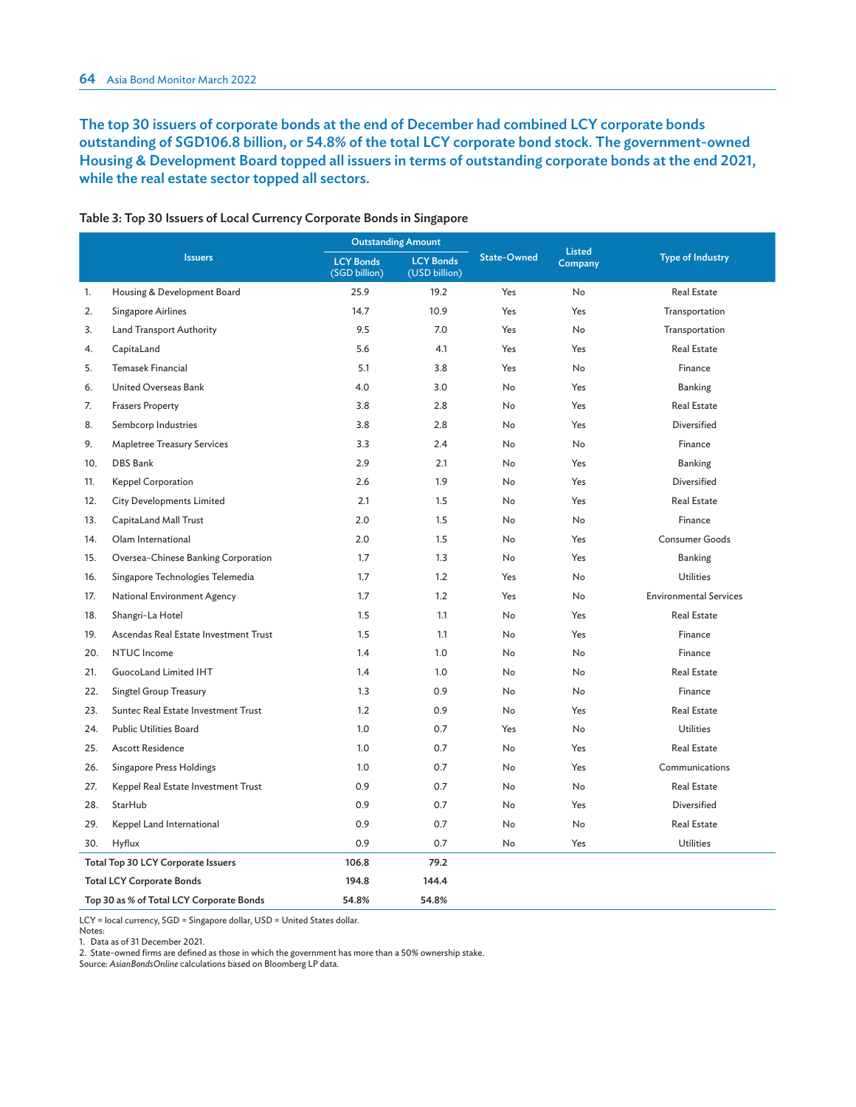### The top 30 issuers of corporate bonds at the end of December had combined LCY corporate bonds outstanding of SGD106.8 billion, or 54.8% of the total LCY corporate bond stock. The government-owned Housing & Development Board topped all issuers in terms of outstanding corporate bonds at the end 2021, while the real estate sector topped all sectors.

|     |                                          | <b>Outstanding Amount</b>         |                                   |                    | <b>Listed</b> |                               |
|-----|------------------------------------------|-----------------------------------|-----------------------------------|--------------------|---------------|-------------------------------|
|     | <b>Issuers</b>                           | <b>LCY Bonds</b><br>(SGD billion) | <b>LCY Bonds</b><br>(USD billion) | <b>State-Owned</b> | Company       | <b>Type of Industry</b>       |
| 1.  | Housing & Development Board              | 25.9                              | 19.2                              | Yes                | No            | <b>Real Estate</b>            |
| 2.  | Singapore Airlines                       | 14.7                              | 10.9                              | Yes                | Yes           | Transportation                |
| 3.  | <b>Land Transport Authority</b>          | 9.5                               | 7.0                               | Yes                | <b>No</b>     | Transportation                |
| 4.  | CapitaLand                               | 5.6                               | 4.1                               | Yes                | Yes           | <b>Real Estate</b>            |
| 5.  | <b>Temasek Financial</b>                 | 5.1                               | 3.8                               | Yes                | <b>No</b>     | Finance                       |
| 6.  | United Overseas Bank                     | 4.0                               | 3.0                               | No                 | Yes           | <b>Banking</b>                |
| 7.  | <b>Frasers Property</b>                  | 3.8                               | 2.8                               | <b>No</b>          | Yes           | <b>Real Estate</b>            |
| 8.  | Sembcorp Industries                      | 3.8                               | 2.8                               | <b>No</b>          | Yes           | Diversified                   |
| 9.  | <b>Mapletree Treasury Services</b>       | 3.3                               | 2.4                               | No                 | No            | Finance                       |
| 10. | DBS Bank                                 | 2.9                               | 2.1                               | No                 | Yes           | <b>Banking</b>                |
| 11. | Keppel Corporation                       | 2.6                               | 1.9                               | No                 | Yes           | Diversified                   |
| 12. | <b>City Developments Limited</b>         | 2.1                               | 1.5                               | No                 | Yes           | <b>Real Estate</b>            |
| 13. | CapitaLand Mall Trust                    | 2.0                               | 1.5                               | No                 | <b>No</b>     | Finance                       |
| 14. | Olam International                       | 2.0                               | 1.5                               | No                 | Yes           | Consumer Goods                |
| 15. | Oversea-Chinese Banking Corporation      | 1.7                               | 1.3                               | No                 | Yes           | <b>Banking</b>                |
| 16. | Singapore Technologies Telemedia         | 1.7                               | 1.2                               | Yes                | <b>No</b>     | <b>Utilities</b>              |
| 17. | National Environment Agency              | 1.7                               | 1.2                               | Yes                | <b>No</b>     | <b>Environmental Services</b> |
| 18. | Shangri-La Hotel                         | 1.5                               | 1.1                               | No                 | Yes           | <b>Real Estate</b>            |
| 19. | Ascendas Real Estate Investment Trust    | 1.5                               | 1.1                               | No                 | Yes           | Finance                       |
| 20. | NTUC Income                              | 1.4                               | 1.0                               | No                 | <b>No</b>     | Finance                       |
| 21. | <b>GuocoLand Limited IHT</b>             | 1.4                               | 1.0                               | No                 | <b>No</b>     | <b>Real Estate</b>            |
| 22. | Singtel Group Treasury                   | 1.3                               | 0.9                               | No                 | <b>No</b>     | Finance                       |
| 23. | Suntec Real Estate Investment Trust      | 1.2                               | 0.9                               | No                 | Yes           | <b>Real Estate</b>            |
| 24. | <b>Public Utilities Board</b>            | 1.0                               | 0.7                               | Yes                | <b>No</b>     | <b>Utilities</b>              |
| 25. | <b>Ascott Residence</b>                  | 1.0                               | 0.7                               | No                 | Yes           | <b>Real Estate</b>            |
| 26. | Singapore Press Holdings                 | 1.0                               | 0.7                               | No                 | Yes           | Communications                |
| 27. | Keppel Real Estate Investment Trust      | 0.9                               | 0.7                               | No                 | <b>No</b>     | <b>Real Estate</b>            |
| 28. | StarHub                                  | 0.9                               | 0.7                               | No                 | Yes           | Diversified                   |
| 29. | Keppel Land International                | 0.9                               | 0.7                               | No                 | <b>No</b>     | <b>Real Estate</b>            |
| 30. | Hyflux                                   | 0.9                               | 0.7                               | <b>No</b>          | Yes           | <b>Utilities</b>              |
|     | Total Top 30 LCY Corporate Issuers       | 106.8                             | 79.2                              |                    |               |                               |
|     | <b>Total LCY Corporate Bonds</b>         | 194.8                             | 144.4                             |                    |               |                               |
|     | Top 30 as % of Total LCY Corporate Bonds | 54.8%                             | 54.8%                             |                    |               |                               |

#### Table 3: Top 30 Issuers of Local Currency Corporate Bonds in Singapore

LCY = local currency, SGD = Singapore dollar, USD = United States dollar.

Notes:

1. Data as of 31 December 2021.

2. State-owned firms are defined as those in which the government has more than a 50% ownership stake.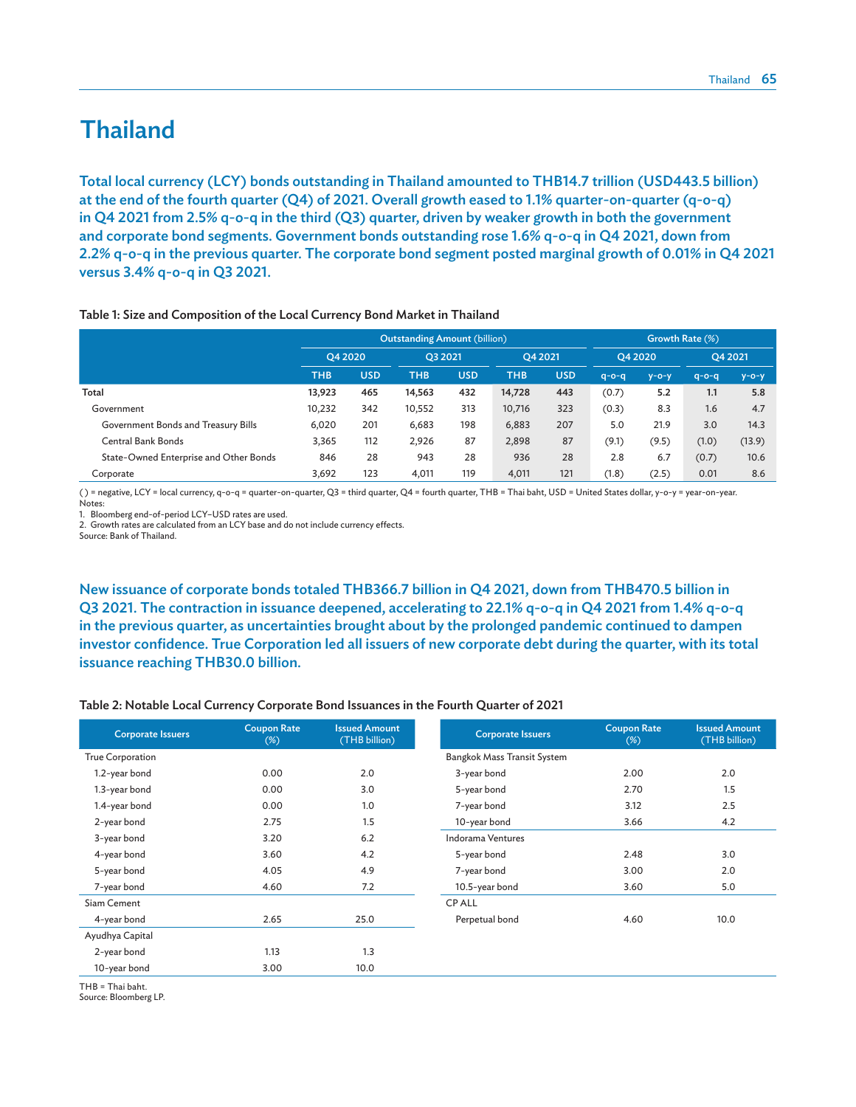# Thailand

Total local currency (LCY) bonds outstanding in Thailand amounted to THB14.7 trillion (USD443.5 billion) at the end of the fourth quarter (Q4) of 2021. Overall growth eased to 1.1% quarter-on-quarter (q-o-q) in Q4 2021 from 2.5% q-o-q in the third (Q3) quarter, driven by weaker growth in both the government and corporate bond segments. Government bonds outstanding rose 1.6% q-o-q in Q4 2021, down from 2.2% q-o-q in the previous quarter. The corporate bond segment posted marginal growth of 0.01% in Q4 2021 versus 3.4% q-o-q in Q3 2021.

#### Table 1: Size and Composition of the Local Currency Bond Market in Thailand

|                                        |            |            | <b>Outstanding Amount (billion)</b> | Growth Rate (%) |            |            |             |             |             |             |
|----------------------------------------|------------|------------|-------------------------------------|-----------------|------------|------------|-------------|-------------|-------------|-------------|
|                                        | O4 2020    |            | O3 2021                             |                 | O4 2021    |            | O4 2020     |             | O4 2021     |             |
|                                        | <b>THB</b> | <b>USD</b> | THB                                 | <b>USD</b>      | <b>THB</b> | <b>USD</b> | $q - o - q$ | $y - o - y$ | $q - o - q$ | $y - o - y$ |
| Total                                  | 13.923     | 465        | 14.563                              | 432             | 14.728     | 443        | (0.7)       | 5.2         | 1.1         | 5.8         |
| Government                             | 10.232     | 342        | 10,552                              | 313             | 10,716     | 323        | (0.3)       | 8.3         | 1.6         | 4.7         |
| Government Bonds and Treasury Bills    | 6.020      | 201        | 6,683                               | 198             | 6,883      | 207        | 5.0         | 21.9        | 3.0         | 14.3        |
| Central Bank Bonds                     | 3.365      | 112        | 2.926                               | 87              | 2,898      | 87         | (9.1)       | (9.5)       | (1.0)       | (13.9)      |
| State-Owned Enterprise and Other Bonds | 846        | 28         | 943                                 | 28              | 936        | 28         | 2.8         | 6.7         | (0.7)       | 10.6        |
| Corporate                              | 3,692      | 123        | 4.011                               | 119             | 4.011      | 121        | (1.8)       | (2.5)       | 0.01        | 8.6         |

( ) = negative, LCY = local currency, q-o-q = quarter-on-quarter, Q3 = third quarter, Q4 = fourth quarter, THB = Thai baht, USD = United States dollar, y-o-y = year-on-year. Notes:

1. Bloomberg end-of-period LCY–USD rates are used.

2. Growth rates are calculated from an LCY base and do not include currency effects.

Source: Bank of Thailand.

New issuance of corporate bonds totaled THB366.7 billion in Q4 2021, down from THB470.5 billion in Q3 2021. The contraction in issuance deepened, accelerating to 22.1% q-o-q in Q4 2021 from 1.4% q-o-q in the previous quarter, as uncertainties brought about by the prolonged pandemic continued to dampen investor confidence. True Corporation led all issuers of new corporate debt during the quarter, with its total issuance reaching THB30.0 billion.

#### Table 2: Notable Local Currency Corporate Bond Issuances in the Fourth Quarter of 2021

| <b>Corporate Issuers</b> | <b>Coupon Rate</b><br>$(\%)$ | <b>Issued Amount</b><br>(THB billion) | <b>Corporate Issuers</b>    | <b>Coupon Rate</b><br>$(\%)$ | <b>Issued Amount</b><br>(THB billion) |
|--------------------------|------------------------------|---------------------------------------|-----------------------------|------------------------------|---------------------------------------|
| <b>True Corporation</b>  |                              |                                       | Bangkok Mass Transit System |                              |                                       |
| 1.2-year bond            | 0.00                         | 2.0                                   | 3-year bond                 | 2.00                         | 2.0                                   |
| 1.3-year bond            | 0.00                         | 3.0                                   | 5-year bond                 | 2.70                         | 1.5                                   |
| 1.4-year bond            | 0.00                         | 1.0                                   | 7-year bond                 | 3.12                         | 2.5                                   |
| 2-year bond              | 2.75                         | 1.5                                   | 10-year bond                | 3.66                         | 4.2                                   |
| 3-year bond              | 3.20                         | 6.2                                   | Indorama Ventures           |                              |                                       |
| 4-year bond              | 3.60                         | 4.2                                   | 5-year bond                 | 2.48                         | 3.0                                   |
| 5-year bond              | 4.05                         | 4.9                                   | 7-year bond                 | 3.00                         | 2.0                                   |
| 7-year bond              | 4.60                         | 7.2                                   | 10.5-year bond              | 3.60                         | 5.0                                   |
| Siam Cement              |                              |                                       | <b>CPALL</b>                |                              |                                       |
| 4-year bond              | 2.65                         | 25.0                                  | Perpetual bond              | 4.60                         | 10.0                                  |
| Ayudhya Capital          |                              |                                       |                             |                              |                                       |
| 2-year bond              | 1.13                         | 1.3                                   |                             |                              |                                       |
| 10-year bond             | 3.00                         | 10.0                                  |                             |                              |                                       |
| $THB = Thai baht.$       |                              |                                       |                             |                              |                                       |

Source: Bloomberg LP.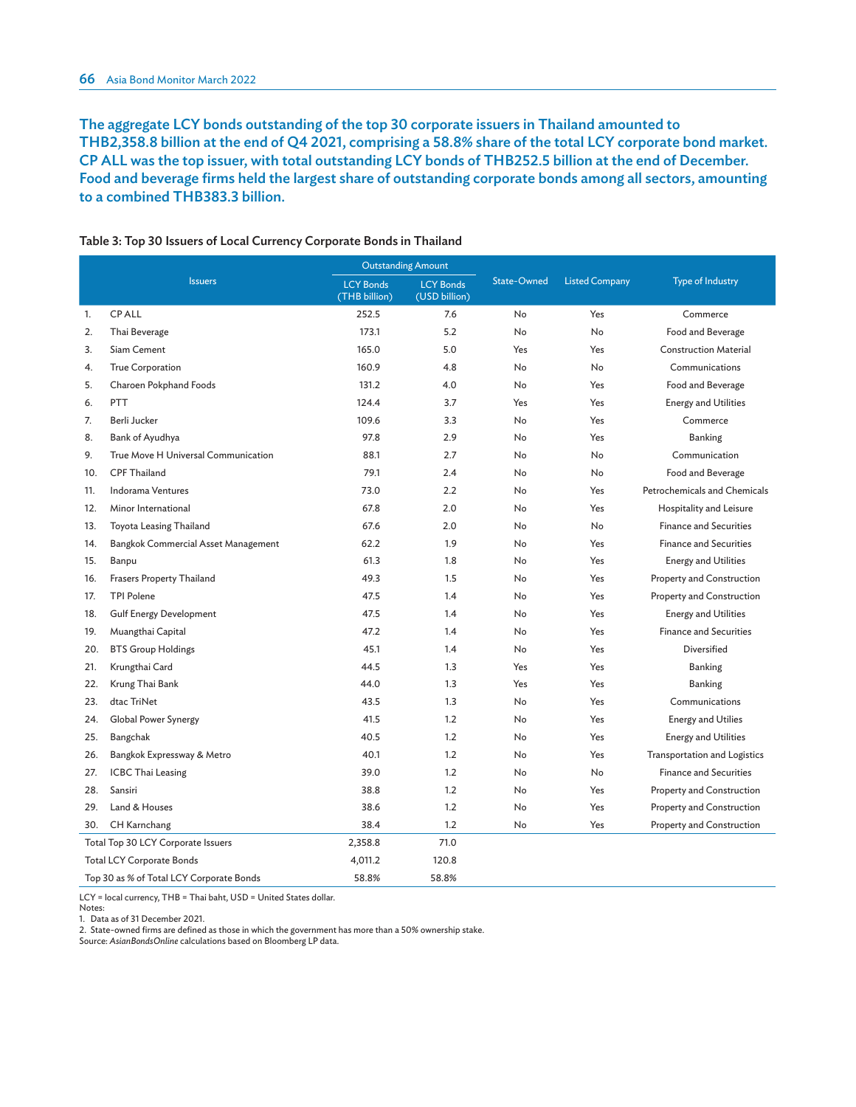The aggregate LCY bonds outstanding of the top 30 corporate issuers in Thailand amounted to THB2,358.8 billion at the end of Q4 2021, comprising a 58.8% share of the total LCY corporate bond market. CP ALL was the top issuer, with total outstanding LCY bonds of THB252.5 billion at the end of December. Food and beverage firms held the largest share of outstanding corporate bonds among all sectors, amounting to a combined THB383.3 billion.

| <b>Issuers</b>                           |                                     | <b>Outstanding Amount</b>         |                                   |             |                       |                               |  |
|------------------------------------------|-------------------------------------|-----------------------------------|-----------------------------------|-------------|-----------------------|-------------------------------|--|
|                                          |                                     | <b>LCY Bonds</b><br>(THB billion) | <b>LCY Bonds</b><br>(USD billion) | State-Owned | <b>Listed Company</b> | <b>Type of Industry</b>       |  |
| 1.                                       | <b>CPALL</b>                        | 252.5                             | 7.6                               | No          | Yes                   | Commerce                      |  |
| 2.                                       | Thai Beverage                       | 173.1                             | 5.2                               | No          | No                    | Food and Beverage             |  |
| 3.                                       | Siam Cement                         | 165.0                             | 5.0                               | Yes         | Yes                   | <b>Construction Material</b>  |  |
| 4.                                       | <b>True Corporation</b>             | 160.9                             | 4.8                               | No          | No                    | Communications                |  |
| 5.                                       | Charoen Pokphand Foods              | 131.2                             | 4.0                               | No          | Yes                   | Food and Beverage             |  |
| 6.                                       | PTT                                 | 124.4                             | 3.7                               | Yes         | Yes                   | <b>Energy and Utilities</b>   |  |
| 7.                                       | Berli Jucker                        | 109.6                             | 3.3                               | No          | Yes                   | Commerce                      |  |
| 8.                                       | Bank of Ayudhya                     | 97.8                              | 2.9                               | No          | Yes                   | Banking                       |  |
| 9.                                       | True Move H Universal Communication | 88.1                              | 2.7                               | No          | No                    | Communication                 |  |
| 10.                                      | <b>CPF Thailand</b>                 | 79.1                              | 2.4                               | No          | No                    | Food and Beverage             |  |
| 11.                                      | <b>Indorama Ventures</b>            | 73.0                              | 2.2                               | No          | Yes                   | Petrochemicals and Chemicals  |  |
| 12.                                      | Minor International                 | 67.8                              | 2.0                               | No          | Yes                   | Hospitality and Leisure       |  |
| 13.                                      | Toyota Leasing Thailand             | 67.6                              | 2.0                               | No          | No                    | <b>Finance and Securities</b> |  |
| 14.                                      | Bangkok Commercial Asset Management | 62.2                              | 1.9                               | No          | Yes                   | <b>Finance and Securities</b> |  |
| 15.                                      | Banpu                               | 61.3                              | 1.8                               | No          | Yes                   | <b>Energy and Utilities</b>   |  |
| 16.                                      | <b>Frasers Property Thailand</b>    | 49.3                              | 1.5                               | No          | Yes                   | Property and Construction     |  |
| 17.                                      | <b>TPI Polene</b>                   | 47.5                              | 1.4                               | No          | Yes                   | Property and Construction     |  |
| 18.                                      | <b>Gulf Energy Development</b>      | 47.5                              | 1.4                               | No          | Yes                   | <b>Energy and Utilities</b>   |  |
| 19.                                      | Muangthai Capital                   | 47.2                              | 1.4                               | No          | Yes                   | <b>Finance and Securities</b> |  |
| 20.                                      | <b>BTS Group Holdings</b>           | 45.1                              | 1.4                               | No          | Yes                   | Diversified                   |  |
| 21.                                      | Krungthai Card                      | 44.5                              | 1.3                               | Yes         | Yes                   | Banking                       |  |
| 22.                                      | Krung Thai Bank                     | 44.0                              | 1.3                               | Yes         | Yes                   | <b>Banking</b>                |  |
| 23.                                      | dtac TriNet                         | 43.5                              | 1.3                               | No          | Yes                   | Communications                |  |
| 24.                                      | Global Power Synergy                | 41.5                              | 1.2                               | <b>No</b>   | Yes                   | <b>Energy and Utilies</b>     |  |
| 25.                                      | Bangchak                            | 40.5                              | 1.2                               | No          | Yes                   | <b>Energy and Utilities</b>   |  |
| 26.                                      | Bangkok Expressway & Metro          | 40.1                              | 1.2                               | No          | Yes                   | Transportation and Logistics  |  |
| 27.                                      | <b>ICBC Thai Leasing</b>            | 39.0                              | 1.2                               | No          | No                    | <b>Finance and Securities</b> |  |
| 28.                                      | Sansiri                             | 38.8                              | 1.2                               | No          | Yes                   | Property and Construction     |  |
| 29.                                      | Land & Houses                       | 38.6                              | 1.2                               | No          | Yes                   | Property and Construction     |  |
| 30.                                      | CH Karnchang                        | 38.4                              | 1.2                               | No          | Yes                   | Property and Construction     |  |
| Total Top 30 LCY Corporate Issuers       |                                     | 2,358.8                           | 71.0                              |             |                       |                               |  |
| <b>Total LCY Corporate Bonds</b>         |                                     | 4,011.2                           | 120.8                             |             |                       |                               |  |
| Top 30 as % of Total LCY Corporate Bonds |                                     | 58.8%                             | 58.8%                             |             |                       |                               |  |

#### Table 3: Top 30 Issuers of Local Currency Corporate Bonds in Thailand

LCY = local currency, THB = Thai baht, USD = United States dollar.

Notes:

1. Data as of 31 December 2021.

2. State-owned firms are defined as those in which the government has more than a 50% ownership stake.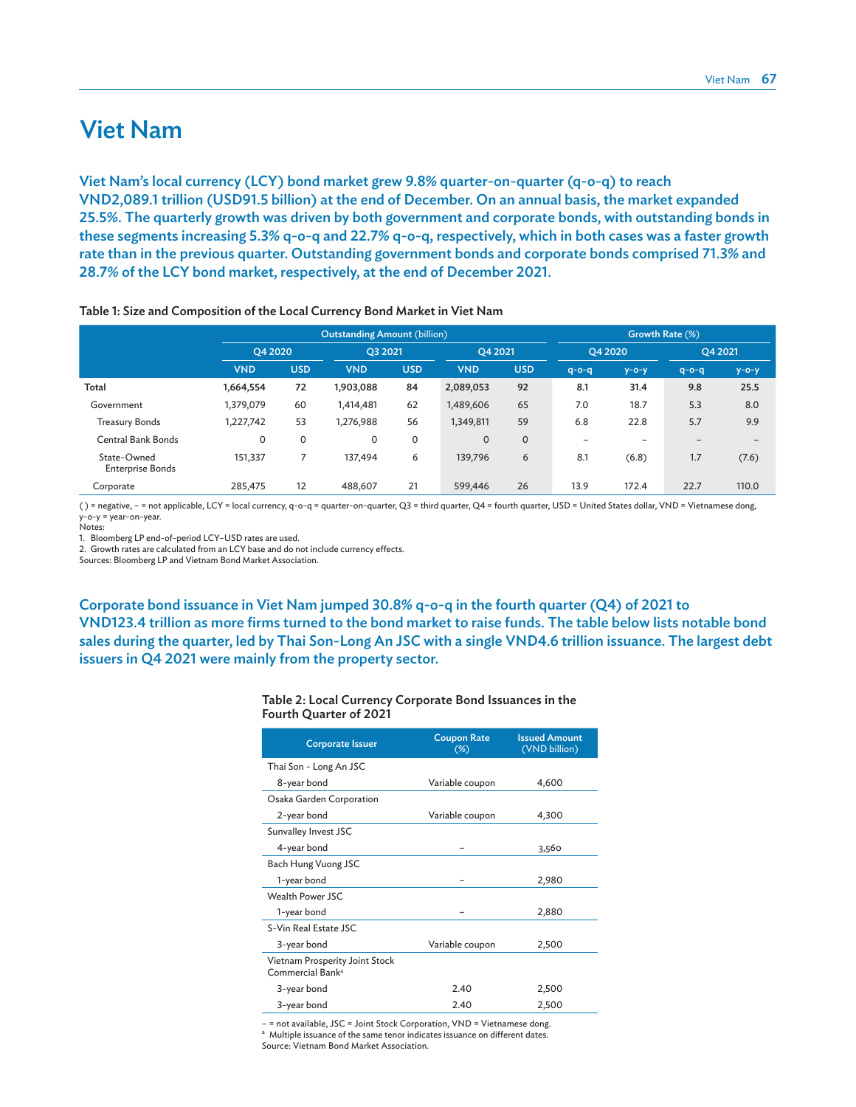# Viet Nam

Viet Nam's local currency (LCY) bond market grew 9.8% quarter-on-quarter (q-o-q) to reach VND2,089.1 trillion (USD91.5 billion) at the end of December. On an annual basis, the market expanded 25.5%. The quarterly growth was driven by both government and corporate bonds, with outstanding bonds in these segments increasing 5.3% q-o-q and 22.7% q-o-q, respectively, which in both cases was a faster growth rate than in the previous quarter. Outstanding government bonds and corporate bonds comprised 71.3% and 28.7% of the LCY bond market, respectively, at the end of December 2021.

|                                        |            | <b>Outstanding Amount (billion)</b> |            |            |              | Growth Rate (%) |                 |             |             |             |
|----------------------------------------|------------|-------------------------------------|------------|------------|--------------|-----------------|-----------------|-------------|-------------|-------------|
|                                        | O4 2020    |                                     | O3 2021    |            | O4 2021      |                 | O4 2020         |             | O4 2021     |             |
|                                        | <b>VND</b> | <b>USD</b>                          | <b>VND</b> | <b>USD</b> | <b>VND</b>   | <b>USD</b>      | $q - o - q$     | $y - o - y$ | $q - o - q$ | $y - o - y$ |
| Total                                  | 1,664,554  | 72                                  | 1,903,088  | 84         | 2,089,053    | 92              | 8.1             | 31.4        | 9.8         | 25.5        |
| Government                             | 1,379,079  | 60                                  | 1,414,481  | 62         | 1,489,606    | 65              | 7.0             | 18.7        | 5.3         | 8.0         |
| <b>Treasury Bonds</b>                  | 1,227,742  | 53                                  | 1,276,988  | 56         | 1,349,811    | 59              | 6.8             | 22.8        | 5.7         | 9.9         |
| <b>Central Bank Bonds</b>              | 0          | 0                                   | 0          | 0          | $\mathbf{O}$ | 0               | $\qquad \qquad$ | -           |             |             |
| State-Owned<br><b>Enterprise Bonds</b> | 151,337    |                                     | 137,494    | 6          | 139,796      | 6               | 8.1             | (6.8)       | 1.7         | (7.6)       |
| Corporate                              | 285,475    | 12                                  | 488,607    | 21         | 599,446      | 26              | 13.9            | 172.4       | 22.7        | 110.0       |

Table 1: Size and Composition of the Local Currency Bond Market in Viet Nam

( ) = negative, – = not applicable, LCY = local currency, q-o-q = quarter-on-quarter, Q3 = third quarter, Q4 = fourth quarter, USD = United States dollar, VND = Vietnamese dong, y-o-y = year-on-year.

,<br>Notes:

1. Bloomberg LP end-of-period LCY–USD rates are used.

2. Growth rates are calculated from an LCY base and do not include currency effects.

Sources: Bloomberg LP and Vietnam Bond Market Association.

Corporate bond issuance in Viet Nam jumped 30.8% q-o-q in the fourth quarter (Q4) of 2021 to VND123.4 trillion as more firms turned to the bond market to raise funds. The table below lists notable bond sales during the quarter, led by Thai Son-Long An JSC with a single VND4.6 trillion issuance. The largest debt issuers in Q4 2021 were mainly from the property sector.

| Table 2: Local Currency Corporate Bond Issuances in the |  |  |
|---------------------------------------------------------|--|--|
| Fourth Quarter of 2021                                  |  |  |

| <b>Corporate Issuer</b>                                        | <b>Coupon Rate</b><br>$(\%)$ | <b>Issued Amount</b><br>(VND billion) |
|----------------------------------------------------------------|------------------------------|---------------------------------------|
| Thai Son - Long An JSC                                         |                              |                                       |
| 8-year bond                                                    | Variable coupon              | 4,600                                 |
| Osaka Garden Corporation                                       |                              |                                       |
| 2-year bond                                                    | Variable coupon              | 4,300                                 |
| Sunvalley Invest JSC                                           |                              |                                       |
| 4-year bond                                                    |                              | 3,560                                 |
| Bach Hung Vuong JSC                                            |                              |                                       |
| 1-year bond                                                    |                              | 2,980                                 |
| <b>Wealth Power JSC</b>                                        |                              |                                       |
| 1-year bond                                                    |                              | 2,880                                 |
| S-Vin Real Estate JSC                                          |                              |                                       |
| 3-year bond                                                    | Variable coupon              | 2,500                                 |
| Vietnam Prosperity Joint Stock<br>Commercial Bank <sup>a</sup> |                              |                                       |
| 3-year bond                                                    | 2.40                         | 2,500                                 |
| 3-year bond                                                    | 2.40                         | 2,500                                 |

– = not available, JSC = Joint Stock Corporation, VND = Vietnamese dong.

<sup>a</sup> Multiple issuance of the same tenor indicates issuance on different dates.

Source: Vietnam Bond Market Association.